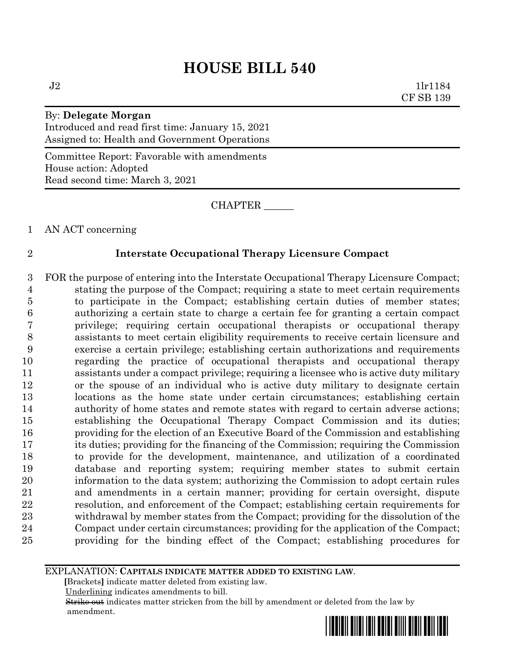$J2$  1lr1184 CF SB 139

By: **Delegate Morgan** Introduced and read first time: January 15, 2021 Assigned to: Health and Government Operations

Committee Report: Favorable with amendments House action: Adopted Read second time: March 3, 2021

CHAPTER \_\_\_\_\_\_

AN ACT concerning

### **Interstate Occupational Therapy Licensure Compact**

 FOR the purpose of entering into the Interstate Occupational Therapy Licensure Compact; stating the purpose of the Compact; requiring a state to meet certain requirements to participate in the Compact; establishing certain duties of member states; authorizing a certain state to charge a certain fee for granting a certain compact privilege; requiring certain occupational therapists or occupational therapy assistants to meet certain eligibility requirements to receive certain licensure and exercise a certain privilege; establishing certain authorizations and requirements regarding the practice of occupational therapists and occupational therapy assistants under a compact privilege; requiring a licensee who is active duty military or the spouse of an individual who is active duty military to designate certain locations as the home state under certain circumstances; establishing certain authority of home states and remote states with regard to certain adverse actions; establishing the Occupational Therapy Compact Commission and its duties; providing for the election of an Executive Board of the Commission and establishing its duties; providing for the financing of the Commission; requiring the Commission to provide for the development, maintenance, and utilization of a coordinated database and reporting system; requiring member states to submit certain information to the data system; authorizing the Commission to adopt certain rules and amendments in a certain manner; providing for certain oversight, dispute resolution, and enforcement of the Compact; establishing certain requirements for withdrawal by member states from the Compact; providing for the dissolution of the Compact under certain circumstances; providing for the application of the Compact; providing for the binding effect of the Compact; establishing procedures for

EXPLANATION: **CAPITALS INDICATE MATTER ADDED TO EXISTING LAW**.

 **[**Brackets**]** indicate matter deleted from existing law.

Underlining indicates amendments to bill.

 Strike out indicates matter stricken from the bill by amendment or deleted from the law by amendment.

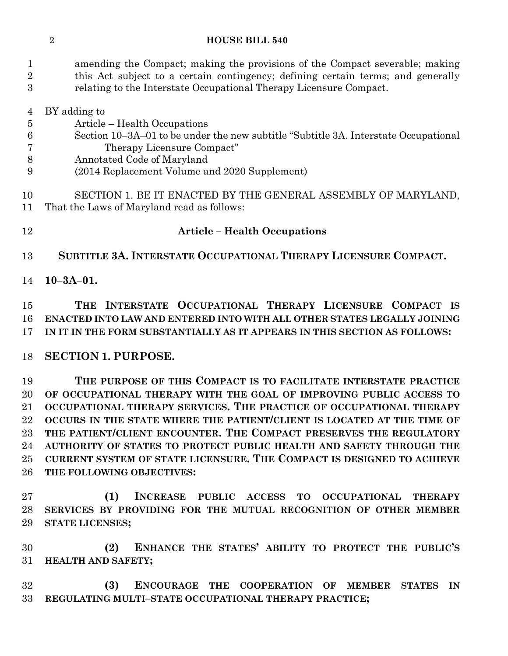amending the Compact; making the provisions of the Compact severable; making this Act subject to a certain contingency; defining certain terms; and generally relating to the Interstate Occupational Therapy Licensure Compact.

- BY adding to Article – Health Occupations Section 10–3A–01 to be under the new subtitle "Subtitle 3A. Interstate Occupational Therapy Licensure Compact" Annotated Code of Maryland (2014 Replacement Volume and 2020 Supplement) SECTION 1. BE IT ENACTED BY THE GENERAL ASSEMBLY OF MARYLAND,
- That the Laws of Maryland read as follows:
- 

#### **Article – Health Occupations**

**SUBTITLE 3A. INTERSTATE OCCUPATIONAL THERAPY LICENSURE COMPACT.**

**10–3A–01.**

 **THE INTERSTATE OCCUPATIONAL THERAPY LICENSURE COMPACT IS ENACTED INTO LAW AND ENTERED INTO WITH ALL OTHER STATES LEGALLY JOINING IN IT IN THE FORM SUBSTANTIALLY AS IT APPEARS IN THIS SECTION AS FOLLOWS:**

# **SECTION 1. PURPOSE.**

 **THE PURPOSE OF THIS COMPACT IS TO FACILITATE INTERSTATE PRACTICE OF OCCUPATIONAL THERAPY WITH THE GOAL OF IMPROVING PUBLIC ACCESS TO OCCUPATIONAL THERAPY SERVICES. THE PRACTICE OF OCCUPATIONAL THERAPY OCCURS IN THE STATE WHERE THE PATIENT/CLIENT IS LOCATED AT THE TIME OF THE PATIENT/CLIENT ENCOUNTER. THE COMPACT PRESERVES THE REGULATORY AUTHORITY OF STATES TO PROTECT PUBLIC HEALTH AND SAFETY THROUGH THE CURRENT SYSTEM OF STATE LICENSURE. THE COMPACT IS DESIGNED TO ACHIEVE THE FOLLOWING OBJECTIVES:**

 **(1) INCREASE PUBLIC ACCESS TO OCCUPATIONAL THERAPY SERVICES BY PROVIDING FOR THE MUTUAL RECOGNITION OF OTHER MEMBER STATE LICENSES;**

 **(2) ENHANCE THE STATES' ABILITY TO PROTECT THE PUBLIC'S HEALTH AND SAFETY;**

 **(3) ENCOURAGE THE COOPERATION OF MEMBER STATES IN REGULATING MULTI–STATE OCCUPATIONAL THERAPY PRACTICE;**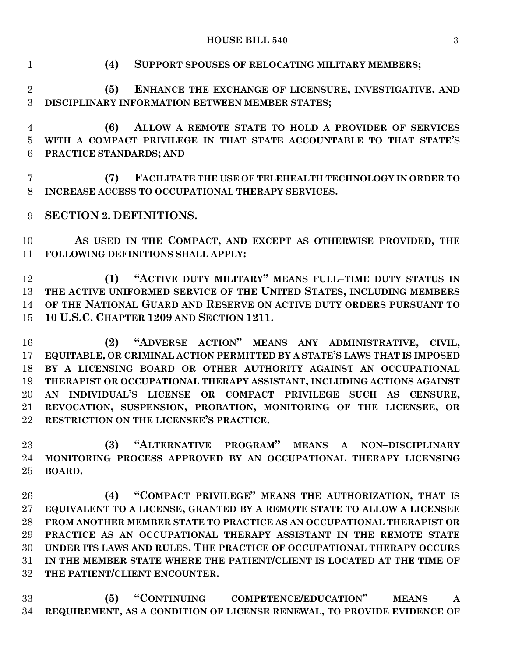**HOUSE BILL 540** 3

| $\mathbf{1}$                           | (4)<br>SUPPORT SPOUSES OF RELOCATING MILITARY MEMBERS;                                                                                                                                                                                                                                                                                                                                                                                                           |
|----------------------------------------|------------------------------------------------------------------------------------------------------------------------------------------------------------------------------------------------------------------------------------------------------------------------------------------------------------------------------------------------------------------------------------------------------------------------------------------------------------------|
| $\overline{2}$<br>3                    | (5)<br>ENHANCE THE EXCHANGE OF LICENSURE, INVESTIGATIVE, AND<br>DISCIPLINARY INFORMATION BETWEEN MEMBER STATES;                                                                                                                                                                                                                                                                                                                                                  |
| $\overline{4}$<br>$\overline{5}$<br>6  | ALLOW A REMOTE STATE TO HOLD A PROVIDER OF SERVICES<br>(6)<br>WITH A COMPACT PRIVILEGE IN THAT STATE ACCOUNTABLE TO THAT STATE'S<br>PRACTICE STANDARDS; AND                                                                                                                                                                                                                                                                                                      |
| $\overline{7}$<br>8                    | FACILITATE THE USE OF TELEHEALTH TECHNOLOGY IN ORDER TO<br>(7)<br>INCREASE ACCESS TO OCCUPATIONAL THERAPY SERVICES.                                                                                                                                                                                                                                                                                                                                              |
| 9                                      | <b>SECTION 2. DEFINITIONS.</b>                                                                                                                                                                                                                                                                                                                                                                                                                                   |
| 10<br>11                               | AS USED IN THE COMPACT, AND EXCEPT AS OTHERWISE PROVIDED, THE<br>FOLLOWING DEFINITIONS SHALL APPLY:                                                                                                                                                                                                                                                                                                                                                              |
| 12<br>13<br>14<br>15                   | "ACTIVE DUTY MILITARY" MEANS FULL-TIME DUTY STATUS IN<br>(1)<br>THE ACTIVE UNIFORMED SERVICE OF THE UNITED STATES, INCLUDING MEMBERS<br>OF THE NATIONAL GUARD AND RESERVE ON ACTIVE DUTY ORDERS PURSUANT TO<br>10 U.S.C. CHAPTER 1209 AND SECTION 1211.                                                                                                                                                                                                          |
| 16<br>17<br>18<br>19<br>20<br>21<br>22 | (2) "ADVERSE ACTION" MEANS ANY ADMINISTRATIVE, CIVIL,<br>EQUITABLE, OR CRIMINAL ACTION PERMITTED BY A STATE'S LAWS THAT IS IMPOSED<br>BY A LICENSING BOARD OR OTHER AUTHORITY AGAINST AN OCCUPATIONAL<br>THERAPIST OR OCCUPATIONAL THERAPY ASSISTANT, INCLUDING ACTIONS AGAINST<br>AN INDIVIDUAL'S LICENSE OR COMPACT PRIVILEGE SUCH AS CENSURE,<br>REVOCATION, SUSPENSION, PROBATION, MONITORING OF THE LICENSEE, OR<br>RESTRICTION ON THE LICENSEE'S PRACTICE. |
| 23<br>24<br>25                         | "ALTERNATIVE PROGRAM" MEANS A NON-DISCIPLINARY<br>(3)<br>MONITORING PROCESS APPROVED BY AN OCCUPATIONAL THERAPY LICENSING<br>BOARD.                                                                                                                                                                                                                                                                                                                              |
| 26<br>27<br>28<br>29<br>30<br>31       | (4) "COMPACT PRIVILEGE" MEANS THE AUTHORIZATION, THAT IS<br>EQUIVALENT TO A LICENSE, GRANTED BY A REMOTE STATE TO ALLOW A LICENSEE<br>FROM ANOTHER MEMBER STATE TO PRACTICE AS AN OCCUPATIONAL THERAPIST OR<br>PRACTICE AS AN OCCUPATIONAL THERAPY ASSISTANT IN THE REMOTE STATE<br>UNDER ITS LAWS AND RULES. THE PRACTICE OF OCCUPATIONAL THERAPY OCCURS<br>IN THE MEMBER STATE WHERE THE PATIENT/CLIENT IS LOCATED AT THE TIME OF                              |

**THE PATIENT/CLIENT ENCOUNTER.**

 **(5) "CONTINUING COMPETENCE/EDUCATION" MEANS A REQUIREMENT, AS A CONDITION OF LICENSE RENEWAL, TO PROVIDE EVIDENCE OF**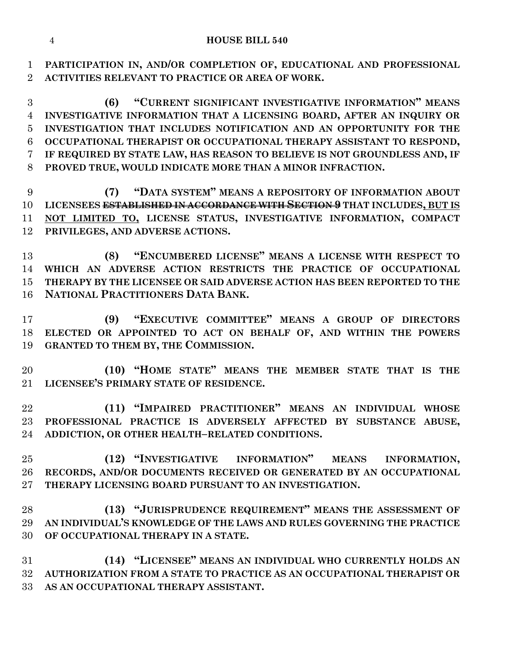**PARTICIPATION IN, AND/OR COMPLETION OF, EDUCATIONAL AND PROFESSIONAL ACTIVITIES RELEVANT TO PRACTICE OR AREA OF WORK.**

 **(6) "CURRENT SIGNIFICANT INVESTIGATIVE INFORMATION" MEANS INVESTIGATIVE INFORMATION THAT A LICENSING BOARD, AFTER AN INQUIRY OR INVESTIGATION THAT INCLUDES NOTIFICATION AND AN OPPORTUNITY FOR THE OCCUPATIONAL THERAPIST OR OCCUPATIONAL THERAPY ASSISTANT TO RESPOND, IF REQUIRED BY STATE LAW, HAS REASON TO BELIEVE IS NOT GROUNDLESS AND, IF PROVED TRUE, WOULD INDICATE MORE THAN A MINOR INFRACTION.**

 **(7) "DATA SYSTEM" MEANS A REPOSITORY OF INFORMATION ABOUT LICENSEES ESTABLISHED IN ACCORDANCE WITH SECTION 9 THAT INCLUDES, BUT IS NOT LIMITED TO, LICENSE STATUS, INVESTIGATIVE INFORMATION, COMPACT PRIVILEGES, AND ADVERSE ACTIONS.**

 **(8) "ENCUMBERED LICENSE" MEANS A LICENSE WITH RESPECT TO WHICH AN ADVERSE ACTION RESTRICTS THE PRACTICE OF OCCUPATIONAL THERAPY BY THE LICENSEE OR SAID ADVERSE ACTION HAS BEEN REPORTED TO THE NATIONAL PRACTITIONERS DATA BANK.**

 **(9) "EXECUTIVE COMMITTEE" MEANS A GROUP OF DIRECTORS ELECTED OR APPOINTED TO ACT ON BEHALF OF, AND WITHIN THE POWERS GRANTED TO THEM BY, THE COMMISSION.**

 **(10) "HOME STATE" MEANS THE MEMBER STATE THAT IS THE LICENSEE'S PRIMARY STATE OF RESIDENCE.**

 **(11) "IMPAIRED PRACTITIONER" MEANS AN INDIVIDUAL WHOSE PROFESSIONAL PRACTICE IS ADVERSELY AFFECTED BY SUBSTANCE ABUSE, ADDICTION, OR OTHER HEALTH–RELATED CONDITIONS.**

 **(12) "INVESTIGATIVE INFORMATION" MEANS INFORMATION, RECORDS, AND/OR DOCUMENTS RECEIVED OR GENERATED BY AN OCCUPATIONAL THERAPY LICENSING BOARD PURSUANT TO AN INVESTIGATION.**

 **(13) "JURISPRUDENCE REQUIREMENT" MEANS THE ASSESSMENT OF AN INDIVIDUAL'S KNOWLEDGE OF THE LAWS AND RULES GOVERNING THE PRACTICE OF OCCUPATIONAL THERAPY IN A STATE.**

 **(14) "LICENSEE" MEANS AN INDIVIDUAL WHO CURRENTLY HOLDS AN AUTHORIZATION FROM A STATE TO PRACTICE AS AN OCCUPATIONAL THERAPIST OR AS AN OCCUPATIONAL THERAPY ASSISTANT.**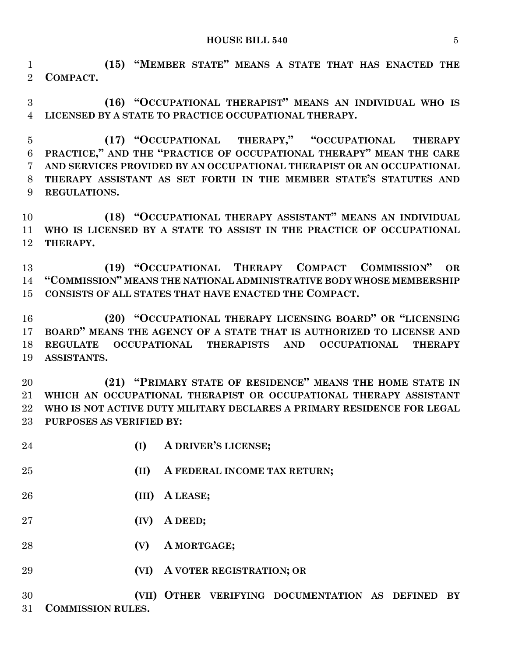**(15) "MEMBER STATE" MEANS A STATE THAT HAS ENACTED THE COMPACT.**

 **(16) "OCCUPATIONAL THERAPIST" MEANS AN INDIVIDUAL WHO IS LICENSED BY A STATE TO PRACTICE OCCUPATIONAL THERAPY.**

 **(17) "OCCUPATIONAL THERAPY," "OCCUPATIONAL THERAPY PRACTICE," AND THE "PRACTICE OF OCCUPATIONAL THERAPY" MEAN THE CARE AND SERVICES PROVIDED BY AN OCCUPATIONAL THERAPIST OR AN OCCUPATIONAL THERAPY ASSISTANT AS SET FORTH IN THE MEMBER STATE'S STATUTES AND REGULATIONS.**

 **(18) "OCCUPATIONAL THERAPY ASSISTANT" MEANS AN INDIVIDUAL WHO IS LICENSED BY A STATE TO ASSIST IN THE PRACTICE OF OCCUPATIONAL THERAPY.**

 **(19) "OCCUPATIONAL THERAPY COMPACT COMMISSION" OR "COMMISSION" MEANS THE NATIONAL ADMINISTRATIVE BODY WHOSE MEMBERSHIP CONSISTS OF ALL STATES THAT HAVE ENACTED THE COMPACT.**

 **(20) "OCCUPATIONAL THERAPY LICENSING BOARD" OR "LICENSING BOARD" MEANS THE AGENCY OF A STATE THAT IS AUTHORIZED TO LICENSE AND REGULATE OCCUPATIONAL THERAPISTS AND OCCUPATIONAL THERAPY ASSISTANTS.**

 **(21) "PRIMARY STATE OF RESIDENCE" MEANS THE HOME STATE IN WHICH AN OCCUPATIONAL THERAPIST OR OCCUPATIONAL THERAPY ASSISTANT WHO IS NOT ACTIVE DUTY MILITARY DECLARES A PRIMARY RESIDENCE FOR LEGAL PURPOSES AS VERIFIED BY:**

| 24 | (I)   | A DRIVER'S LICENSE;                                                      |
|----|-------|--------------------------------------------------------------------------|
| 25 | (II)  | A FEDERAL INCOME TAX RETURN;                                             |
| 26 | (III) | A LEASE;                                                                 |
| 27 | (IV)  | A DEED;                                                                  |
| 28 | (V)   | A MORTGAGE;                                                              |
| 29 | (VI)  | A VOTER REGISTRATION; OR                                                 |
| 30 |       | (VII) OTHER VERIFYING DOCUMENTATION AS DEFINED<br>$\mathbf{B}\mathbf{Y}$ |

**COMMISSION RULES.**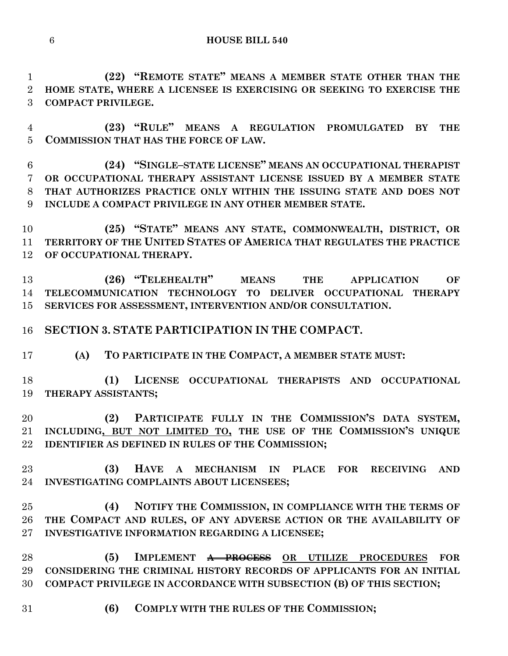**(22) "REMOTE STATE" MEANS A MEMBER STATE OTHER THAN THE HOME STATE, WHERE A LICENSEE IS EXERCISING OR SEEKING TO EXERCISE THE COMPACT PRIVILEGE.**

 **(23) "RULE" MEANS A REGULATION PROMULGATED BY THE COMMISSION THAT HAS THE FORCE OF LAW.**

 **(24) "SINGLE–STATE LICENSE" MEANS AN OCCUPATIONAL THERAPIST OR OCCUPATIONAL THERAPY ASSISTANT LICENSE ISSUED BY A MEMBER STATE THAT AUTHORIZES PRACTICE ONLY WITHIN THE ISSUING STATE AND DOES NOT INCLUDE A COMPACT PRIVILEGE IN ANY OTHER MEMBER STATE.**

 **(25) "STATE" MEANS ANY STATE, COMMONWEALTH, DISTRICT, OR TERRITORY OF THE UNITED STATES OF AMERICA THAT REGULATES THE PRACTICE OF OCCUPATIONAL THERAPY.**

 **(26) "TELEHEALTH" MEANS THE APPLICATION OF TELECOMMUNICATION TECHNOLOGY TO DELIVER OCCUPATIONAL THERAPY SERVICES FOR ASSESSMENT, INTERVENTION AND/OR CONSULTATION.**

**SECTION 3. STATE PARTICIPATION IN THE COMPACT.**

**(A) TO PARTICIPATE IN THE COMPACT, A MEMBER STATE MUST:**

 **(1) LICENSE OCCUPATIONAL THERAPISTS AND OCCUPATIONAL THERAPY ASSISTANTS;**

 **(2) PARTICIPATE FULLY IN THE COMMISSION'S DATA SYSTEM, INCLUDING, BUT NOT LIMITED TO, THE USE OF THE COMMISSION'S UNIQUE IDENTIFIER AS DEFINED IN RULES OF THE COMMISSION;**

 **(3) HAVE A MECHANISM IN PLACE FOR RECEIVING AND INVESTIGATING COMPLAINTS ABOUT LICENSEES;**

 **(4) NOTIFY THE COMMISSION, IN COMPLIANCE WITH THE TERMS OF THE COMPACT AND RULES, OF ANY ADVERSE ACTION OR THE AVAILABILITY OF INVESTIGATIVE INFORMATION REGARDING A LICENSEE;**

 **(5) IMPLEMENT A PROCESS OR UTILIZE PROCEDURES FOR CONSIDERING THE CRIMINAL HISTORY RECORDS OF APPLICANTS FOR AN INITIAL COMPACT PRIVILEGE IN ACCORDANCE WITH SUBSECTION (B) OF THIS SECTION;**

**(6) COMPLY WITH THE RULES OF THE COMMISSION;**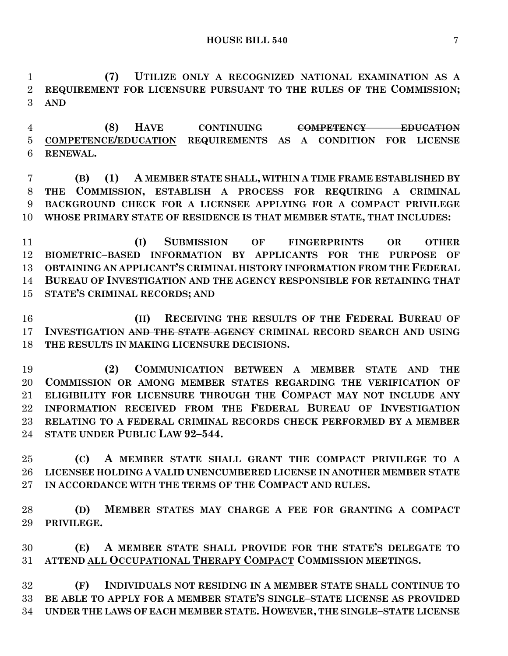**(7) UTILIZE ONLY A RECOGNIZED NATIONAL EXAMINATION AS A REQUIREMENT FOR LICENSURE PURSUANT TO THE RULES OF THE COMMISSION; AND**

 **(8) HAVE CONTINUING COMPETENCY EDUCATION COMPETENCE/EDUCATION REQUIREMENTS AS A CONDITION FOR LICENSE RENEWAL.**

 **(B) (1) A MEMBER STATE SHALL, WITHIN A TIME FRAME ESTABLISHED BY THE COMMISSION, ESTABLISH A PROCESS FOR REQUIRING A CRIMINAL BACKGROUND CHECK FOR A LICENSEE APPLYING FOR A COMPACT PRIVILEGE WHOSE PRIMARY STATE OF RESIDENCE IS THAT MEMBER STATE, THAT INCLUDES:**

 **(I) SUBMISSION OF FINGERPRINTS OR OTHER BIOMETRIC–BASED INFORMATION BY APPLICANTS FOR THE PURPOSE OF OBTAINING AN APPLICANT'S CRIMINAL HISTORY INFORMATION FROM THE FEDERAL BUREAU OF INVESTIGATION AND THE AGENCY RESPONSIBLE FOR RETAINING THAT STATE'S CRIMINAL RECORDS; AND**

 **(II) RECEIVING THE RESULTS OF THE FEDERAL BUREAU OF INVESTIGATION AND THE STATE AGENCY CRIMINAL RECORD SEARCH AND USING THE RESULTS IN MAKING LICENSURE DECISIONS.**

 **(2) COMMUNICATION BETWEEN A MEMBER STATE AND THE COMMISSION OR AMONG MEMBER STATES REGARDING THE VERIFICATION OF ELIGIBILITY FOR LICENSURE THROUGH THE COMPACT MAY NOT INCLUDE ANY INFORMATION RECEIVED FROM THE FEDERAL BUREAU OF INVESTIGATION RELATING TO A FEDERAL CRIMINAL RECORDS CHECK PERFORMED BY A MEMBER STATE UNDER PUBLIC LAW 92–544.**

 **(C) A MEMBER STATE SHALL GRANT THE COMPACT PRIVILEGE TO A LICENSEE HOLDING A VALID UNENCUMBERED LICENSE IN ANOTHER MEMBER STATE IN ACCORDANCE WITH THE TERMS OF THE COMPACT AND RULES.**

 **(D) MEMBER STATES MAY CHARGE A FEE FOR GRANTING A COMPACT PRIVILEGE.**

 **(E) A MEMBER STATE SHALL PROVIDE FOR THE STATE'S DELEGATE TO ATTEND ALL OCCUPATIONAL THERAPY COMPACT COMMISSION MEETINGS.**

 **(F) INDIVIDUALS NOT RESIDING IN A MEMBER STATE SHALL CONTINUE TO BE ABLE TO APPLY FOR A MEMBER STATE'S SINGLE–STATE LICENSE AS PROVIDED UNDER THE LAWS OF EACH MEMBER STATE. HOWEVER, THE SINGLE–STATE LICENSE**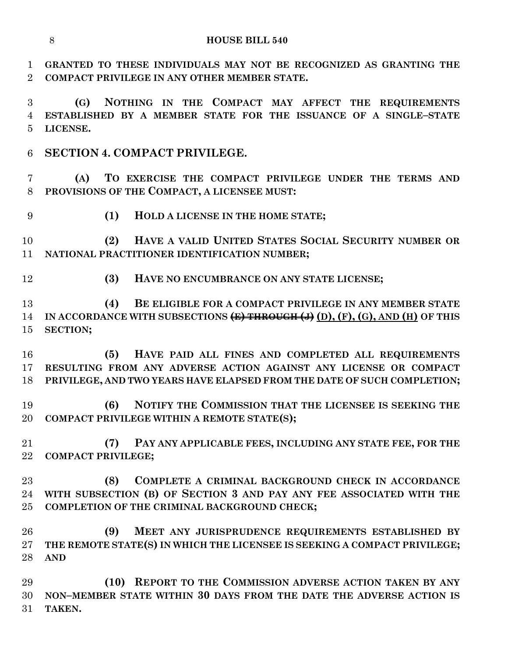**GRANTED TO THESE INDIVIDUALS MAY NOT BE RECOGNIZED AS GRANTING THE COMPACT PRIVILEGE IN ANY OTHER MEMBER STATE.**

 **(G) NOTHING IN THE COMPACT MAY AFFECT THE REQUIREMENTS ESTABLISHED BY A MEMBER STATE FOR THE ISSUANCE OF A SINGLE–STATE LICENSE.**

**SECTION 4. COMPACT PRIVILEGE.**

 **(A) TO EXERCISE THE COMPACT PRIVILEGE UNDER THE TERMS AND PROVISIONS OF THE COMPACT, A LICENSEE MUST:**

**(1) HOLD A LICENSE IN THE HOME STATE;**

 **(2) HAVE A VALID UNITED STATES SOCIAL SECURITY NUMBER OR NATIONAL PRACTITIONER IDENTIFICATION NUMBER;**

**(3) HAVE NO ENCUMBRANCE ON ANY STATE LICENSE;**

 **(4) BE ELIGIBLE FOR A COMPACT PRIVILEGE IN ANY MEMBER STATE**  14 IN ACCORDANCE WITH SUBSECTIONS (E) THROUGH (J) (D), (F), (G), AND (H) OF THIS **SECTION;**

 **(5) HAVE PAID ALL FINES AND COMPLETED ALL REQUIREMENTS RESULTING FROM ANY ADVERSE ACTION AGAINST ANY LICENSE OR COMPACT PRIVILEGE, AND TWO YEARS HAVE ELAPSED FROM THE DATE OF SUCH COMPLETION;**

 **(6) NOTIFY THE COMMISSION THAT THE LICENSEE IS SEEKING THE COMPACT PRIVILEGE WITHIN A REMOTE STATE(S);**

 **(7) PAY ANY APPLICABLE FEES, INCLUDING ANY STATE FEE, FOR THE COMPACT PRIVILEGE;**

 **(8) COMPLETE A CRIMINAL BACKGROUND CHECK IN ACCORDANCE WITH SUBSECTION (B) OF SECTION 3 AND PAY ANY FEE ASSOCIATED WITH THE COMPLETION OF THE CRIMINAL BACKGROUND CHECK;**

 **(9) MEET ANY JURISPRUDENCE REQUIREMENTS ESTABLISHED BY THE REMOTE STATE(S) IN WHICH THE LICENSEE IS SEEKING A COMPACT PRIVILEGE; AND**

 **(10) REPORT TO THE COMMISSION ADVERSE ACTION TAKEN BY ANY NON–MEMBER STATE WITHIN 30 DAYS FROM THE DATE THE ADVERSE ACTION IS TAKEN.**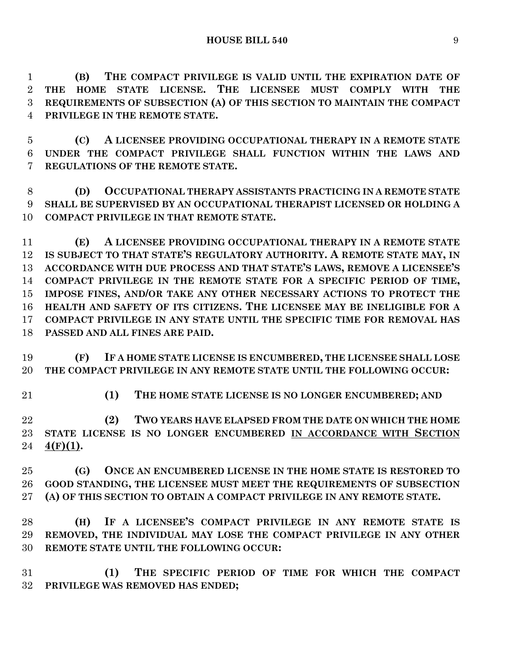**(B) THE COMPACT PRIVILEGE IS VALID UNTIL THE EXPIRATION DATE OF THE HOME STATE LICENSE. THE LICENSEE MUST COMPLY WITH THE REQUIREMENTS OF SUBSECTION (A) OF THIS SECTION TO MAINTAIN THE COMPACT PRIVILEGE IN THE REMOTE STATE.**

 **(C) A LICENSEE PROVIDING OCCUPATIONAL THERAPY IN A REMOTE STATE UNDER THE COMPACT PRIVILEGE SHALL FUNCTION WITHIN THE LAWS AND REGULATIONS OF THE REMOTE STATE.**

 **(D) OCCUPATIONAL THERAPY ASSISTANTS PRACTICING IN A REMOTE STATE SHALL BE SUPERVISED BY AN OCCUPATIONAL THERAPIST LICENSED OR HOLDING A COMPACT PRIVILEGE IN THAT REMOTE STATE.**

 **(E) A LICENSEE PROVIDING OCCUPATIONAL THERAPY IN A REMOTE STATE IS SUBJECT TO THAT STATE'S REGULATORY AUTHORITY. A REMOTE STATE MAY, IN ACCORDANCE WITH DUE PROCESS AND THAT STATE'S LAWS, REMOVE A LICENSEE'S COMPACT PRIVILEGE IN THE REMOTE STATE FOR A SPECIFIC PERIOD OF TIME, IMPOSE FINES, AND/OR TAKE ANY OTHER NECESSARY ACTIONS TO PROTECT THE HEALTH AND SAFETY OF ITS CITIZENS. THE LICENSEE MAY BE INELIGIBLE FOR A COMPACT PRIVILEGE IN ANY STATE UNTIL THE SPECIFIC TIME FOR REMOVAL HAS PASSED AND ALL FINES ARE PAID.**

 **(F) IF A HOME STATE LICENSE IS ENCUMBERED, THE LICENSEE SHALL LOSE THE COMPACT PRIVILEGE IN ANY REMOTE STATE UNTIL THE FOLLOWING OCCUR:**

**(1) THE HOME STATE LICENSE IS NO LONGER ENCUMBERED; AND**

 **(2) TWO YEARS HAVE ELAPSED FROM THE DATE ON WHICH THE HOME STATE LICENSE IS NO LONGER ENCUMBERED IN ACCORDANCE WITH SECTION 4(F)(1).**

 **(G) ONCE AN ENCUMBERED LICENSE IN THE HOME STATE IS RESTORED TO GOOD STANDING, THE LICENSEE MUST MEET THE REQUIREMENTS OF SUBSECTION (A) OF THIS SECTION TO OBTAIN A COMPACT PRIVILEGE IN ANY REMOTE STATE.**

 **(H) IF A LICENSEE'S COMPACT PRIVILEGE IN ANY REMOTE STATE IS REMOVED, THE INDIVIDUAL MAY LOSE THE COMPACT PRIVILEGE IN ANY OTHER REMOTE STATE UNTIL THE FOLLOWING OCCUR:**

 **(1) THE SPECIFIC PERIOD OF TIME FOR WHICH THE COMPACT PRIVILEGE WAS REMOVED HAS ENDED;**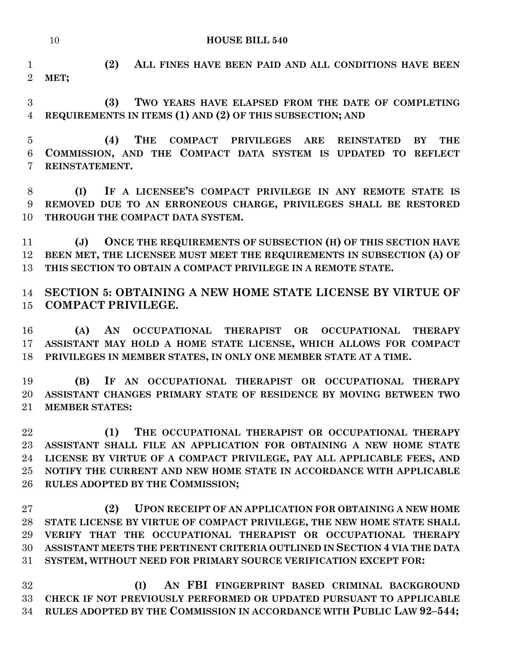**(2) ALL FINES HAVE BEEN PAID AND ALL CONDITIONS HAVE BEEN MET;**

 **(3) TWO YEARS HAVE ELAPSED FROM THE DATE OF COMPLETING REQUIREMENTS IN ITEMS (1) AND (2) OF THIS SUBSECTION; AND**

 **(4) THE COMPACT PRIVILEGES ARE REINSTATED BY THE COMMISSION, AND THE COMPACT DATA SYSTEM IS UPDATED TO REFLECT REINSTATEMENT.**

 **(I) IF A LICENSEE'S COMPACT PRIVILEGE IN ANY REMOTE STATE IS REMOVED DUE TO AN ERRONEOUS CHARGE, PRIVILEGES SHALL BE RESTORED THROUGH THE COMPACT DATA SYSTEM.**

 **(J) ONCE THE REQUIREMENTS OF SUBSECTION (H) OF THIS SECTION HAVE BEEN MET, THE LICENSEE MUST MEET THE REQUIREMENTS IN SUBSECTION (A) OF THIS SECTION TO OBTAIN A COMPACT PRIVILEGE IN A REMOTE STATE.**

 **SECTION 5: OBTAINING A NEW HOME STATE LICENSE BY VIRTUE OF COMPACT PRIVILEGE.**

 **(A) AN OCCUPATIONAL THERAPIST OR OCCUPATIONAL THERAPY ASSISTANT MAY HOLD A HOME STATE LICENSE, WHICH ALLOWS FOR COMPACT PRIVILEGES IN MEMBER STATES, IN ONLY ONE MEMBER STATE AT A TIME.**

 **(B) IF AN OCCUPATIONAL THERAPIST OR OCCUPATIONAL THERAPY ASSISTANT CHANGES PRIMARY STATE OF RESIDENCE BY MOVING BETWEEN TWO MEMBER STATES:**

 **(1) THE OCCUPATIONAL THERAPIST OR OCCUPATIONAL THERAPY ASSISTANT SHALL FILE AN APPLICATION FOR OBTAINING A NEW HOME STATE LICENSE BY VIRTUE OF A COMPACT PRIVILEGE, PAY ALL APPLICABLE FEES, AND NOTIFY THE CURRENT AND NEW HOME STATE IN ACCORDANCE WITH APPLICABLE RULES ADOPTED BY THE COMMISSION;**

 **(2) UPON RECEIPT OF AN APPLICATION FOR OBTAINING A NEW HOME STATE LICENSE BY VIRTUE OF COMPACT PRIVILEGE, THE NEW HOME STATE SHALL VERIFY THAT THE OCCUPATIONAL THERAPIST OR OCCUPATIONAL THERAPY ASSISTANT MEETS THE PERTINENT CRITERIA OUTLINED IN SECTION 4 VIA THE DATA SYSTEM, WITHOUT NEED FOR PRIMARY SOURCE VERIFICATION EXCEPT FOR:**

 **(I) AN FBI FINGERPRINT BASED CRIMINAL BACKGROUND CHECK IF NOT PREVIOUSLY PERFORMED OR UPDATED PURSUANT TO APPLICABLE RULES ADOPTED BY THE COMMISSION IN ACCORDANCE WITH PUBLIC LAW 92–544;**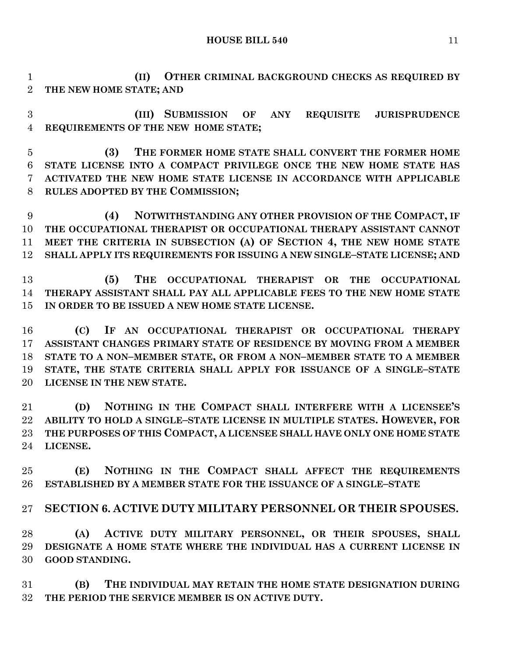**HOUSE BILL 540** 11

 **(II) OTHER CRIMINAL BACKGROUND CHECKS AS REQUIRED BY THE NEW HOME STATE; AND**

 **(III) SUBMISSION OF ANY REQUISITE JURISPRUDENCE REQUIREMENTS OF THE NEW HOME STATE;**

 **(3) THE FORMER HOME STATE SHALL CONVERT THE FORMER HOME STATE LICENSE INTO A COMPACT PRIVILEGE ONCE THE NEW HOME STATE HAS ACTIVATED THE NEW HOME STATE LICENSE IN ACCORDANCE WITH APPLICABLE RULES ADOPTED BY THE COMMISSION;**

 **(4) NOTWITHSTANDING ANY OTHER PROVISION OF THE COMPACT, IF THE OCCUPATIONAL THERAPIST OR OCCUPATIONAL THERAPY ASSISTANT CANNOT MEET THE CRITERIA IN SUBSECTION (A) OF SECTION 4, THE NEW HOME STATE SHALL APPLY ITS REQUIREMENTS FOR ISSUING A NEW SINGLE–STATE LICENSE; AND**

 **(5) THE OCCUPATIONAL THERAPIST OR THE OCCUPATIONAL THERAPY ASSISTANT SHALL PAY ALL APPLICABLE FEES TO THE NEW HOME STATE IN ORDER TO BE ISSUED A NEW HOME STATE LICENSE.**

 **(C) IF AN OCCUPATIONAL THERAPIST OR OCCUPATIONAL THERAPY ASSISTANT CHANGES PRIMARY STATE OF RESIDENCE BY MOVING FROM A MEMBER STATE TO A NON–MEMBER STATE, OR FROM A NON–MEMBER STATE TO A MEMBER STATE, THE STATE CRITERIA SHALL APPLY FOR ISSUANCE OF A SINGLE–STATE LICENSE IN THE NEW STATE.**

 **(D) NOTHING IN THE COMPACT SHALL INTERFERE WITH A LICENSEE'S ABILITY TO HOLD A SINGLE–STATE LICENSE IN MULTIPLE STATES. HOWEVER, FOR THE PURPOSES OF THIS COMPACT, A LICENSEE SHALL HAVE ONLY ONE HOME STATE LICENSE.**

 **(E) NOTHING IN THE COMPACT SHALL AFFECT THE REQUIREMENTS ESTABLISHED BY A MEMBER STATE FOR THE ISSUANCE OF A SINGLE–STATE** 

**SECTION 6. ACTIVE DUTY MILITARY PERSONNEL OR THEIR SPOUSES.**

 **(A) ACTIVE DUTY MILITARY PERSONNEL, OR THEIR SPOUSES, SHALL DESIGNATE A HOME STATE WHERE THE INDIVIDUAL HAS A CURRENT LICENSE IN GOOD STANDING.**

 **(B) THE INDIVIDUAL MAY RETAIN THE HOME STATE DESIGNATION DURING THE PERIOD THE SERVICE MEMBER IS ON ACTIVE DUTY.**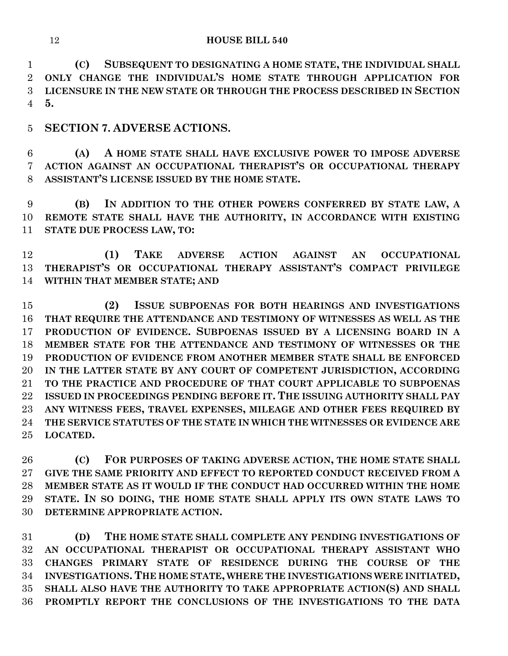**(C) SUBSEQUENT TO DESIGNATING A HOME STATE, THE INDIVIDUAL SHALL ONLY CHANGE THE INDIVIDUAL'S HOME STATE THROUGH APPLICATION FOR LICENSURE IN THE NEW STATE OR THROUGH THE PROCESS DESCRIBED IN SECTION 5.**

**SECTION 7. ADVERSE ACTIONS.**

 **(A) A HOME STATE SHALL HAVE EXCLUSIVE POWER TO IMPOSE ADVERSE ACTION AGAINST AN OCCUPATIONAL THERAPIST'S OR OCCUPATIONAL THERAPY ASSISTANT'S LICENSE ISSUED BY THE HOME STATE.**

 **(B) IN ADDITION TO THE OTHER POWERS CONFERRED BY STATE LAW, A REMOTE STATE SHALL HAVE THE AUTHORITY, IN ACCORDANCE WITH EXISTING STATE DUE PROCESS LAW, TO:**

 **(1) TAKE ADVERSE ACTION AGAINST AN OCCUPATIONAL THERAPIST'S OR OCCUPATIONAL THERAPY ASSISTANT'S COMPACT PRIVILEGE WITHIN THAT MEMBER STATE; AND**

 **(2) ISSUE SUBPOENAS FOR BOTH HEARINGS AND INVESTIGATIONS THAT REQUIRE THE ATTENDANCE AND TESTIMONY OF WITNESSES AS WELL AS THE PRODUCTION OF EVIDENCE. SUBPOENAS ISSUED BY A LICENSING BOARD IN A MEMBER STATE FOR THE ATTENDANCE AND TESTIMONY OF WITNESSES OR THE PRODUCTION OF EVIDENCE FROM ANOTHER MEMBER STATE SHALL BE ENFORCED IN THE LATTER STATE BY ANY COURT OF COMPETENT JURISDICTION, ACCORDING TO THE PRACTICE AND PROCEDURE OF THAT COURT APPLICABLE TO SUBPOENAS ISSUED IN PROCEEDINGS PENDING BEFORE IT. THE ISSUING AUTHORITY SHALL PAY ANY WITNESS FEES, TRAVEL EXPENSES, MILEAGE AND OTHER FEES REQUIRED BY THE SERVICE STATUTES OF THE STATE IN WHICH THE WITNESSES OR EVIDENCE ARE LOCATED.**

 **(C) FOR PURPOSES OF TAKING ADVERSE ACTION, THE HOME STATE SHALL GIVE THE SAME PRIORITY AND EFFECT TO REPORTED CONDUCT RECEIVED FROM A MEMBER STATE AS IT WOULD IF THE CONDUCT HAD OCCURRED WITHIN THE HOME STATE. IN SO DOING, THE HOME STATE SHALL APPLY ITS OWN STATE LAWS TO DETERMINE APPROPRIATE ACTION.**

 **(D) THE HOME STATE SHALL COMPLETE ANY PENDING INVESTIGATIONS OF AN OCCUPATIONAL THERAPIST OR OCCUPATIONAL THERAPY ASSISTANT WHO CHANGES PRIMARY STATE OF RESIDENCE DURING THE COURSE OF THE INVESTIGATIONS. THE HOME STATE, WHERE THE INVESTIGATIONS WERE INITIATED, SHALL ALSO HAVE THE AUTHORITY TO TAKE APPROPRIATE ACTION(S) AND SHALL PROMPTLY REPORT THE CONCLUSIONS OF THE INVESTIGATIONS TO THE DATA**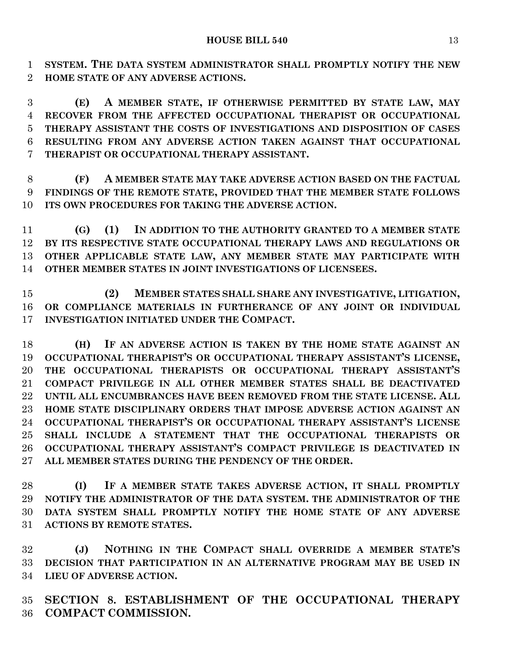**SYSTEM. THE DATA SYSTEM ADMINISTRATOR SHALL PROMPTLY NOTIFY THE NEW HOME STATE OF ANY ADVERSE ACTIONS.**

 **(E) A MEMBER STATE, IF OTHERWISE PERMITTED BY STATE LAW, MAY RECOVER FROM THE AFFECTED OCCUPATIONAL THERAPIST OR OCCUPATIONAL THERAPY ASSISTANT THE COSTS OF INVESTIGATIONS AND DISPOSITION OF CASES RESULTING FROM ANY ADVERSE ACTION TAKEN AGAINST THAT OCCUPATIONAL THERAPIST OR OCCUPATIONAL THERAPY ASSISTANT.**

 **(F) A MEMBER STATE MAY TAKE ADVERSE ACTION BASED ON THE FACTUAL FINDINGS OF THE REMOTE STATE, PROVIDED THAT THE MEMBER STATE FOLLOWS ITS OWN PROCEDURES FOR TAKING THE ADVERSE ACTION.**

 **(G) (1) IN ADDITION TO THE AUTHORITY GRANTED TO A MEMBER STATE BY ITS RESPECTIVE STATE OCCUPATIONAL THERAPY LAWS AND REGULATIONS OR OTHER APPLICABLE STATE LAW, ANY MEMBER STATE MAY PARTICIPATE WITH OTHER MEMBER STATES IN JOINT INVESTIGATIONS OF LICENSEES.**

 **(2) MEMBER STATES SHALL SHARE ANY INVESTIGATIVE, LITIGATION, OR COMPLIANCE MATERIALS IN FURTHERANCE OF ANY JOINT OR INDIVIDUAL INVESTIGATION INITIATED UNDER THE COMPACT.**

 **(H) IF AN ADVERSE ACTION IS TAKEN BY THE HOME STATE AGAINST AN OCCUPATIONAL THERAPIST'S OR OCCUPATIONAL THERAPY ASSISTANT'S LICENSE, THE OCCUPATIONAL THERAPISTS OR OCCUPATIONAL THERAPY ASSISTANT'S COMPACT PRIVILEGE IN ALL OTHER MEMBER STATES SHALL BE DEACTIVATED UNTIL ALL ENCUMBRANCES HAVE BEEN REMOVED FROM THE STATE LICENSE. ALL HOME STATE DISCIPLINARY ORDERS THAT IMPOSE ADVERSE ACTION AGAINST AN OCCUPATIONAL THERAPIST'S OR OCCUPATIONAL THERAPY ASSISTANT'S LICENSE SHALL INCLUDE A STATEMENT THAT THE OCCUPATIONAL THERAPISTS OR OCCUPATIONAL THERAPY ASSISTANT'S COMPACT PRIVILEGE IS DEACTIVATED IN ALL MEMBER STATES DURING THE PENDENCY OF THE ORDER.**

 **(I) IF A MEMBER STATE TAKES ADVERSE ACTION, IT SHALL PROMPTLY NOTIFY THE ADMINISTRATOR OF THE DATA SYSTEM. THE ADMINISTRATOR OF THE DATA SYSTEM SHALL PROMPTLY NOTIFY THE HOME STATE OF ANY ADVERSE ACTIONS BY REMOTE STATES.**

 **(J) NOTHING IN THE COMPACT SHALL OVERRIDE A MEMBER STATE'S DECISION THAT PARTICIPATION IN AN ALTERNATIVE PROGRAM MAY BE USED IN LIEU OF ADVERSE ACTION.**

 **SECTION 8. ESTABLISHMENT OF THE OCCUPATIONAL THERAPY COMPACT COMMISSION.**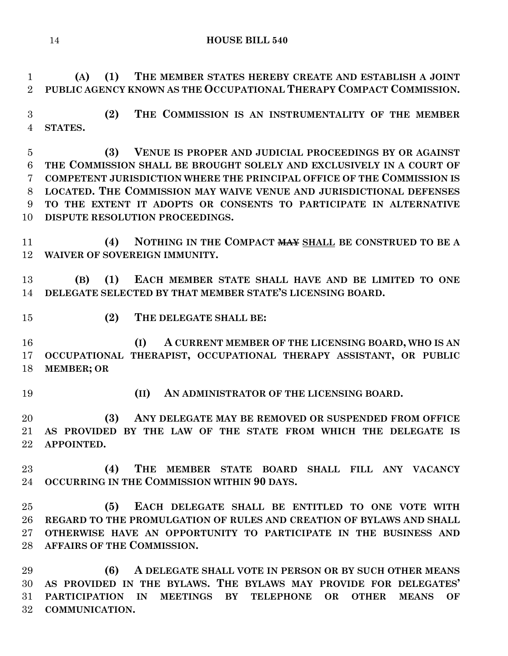**(A) (1) THE MEMBER STATES HEREBY CREATE AND ESTABLISH A JOINT PUBLIC AGENCY KNOWN AS THE OCCUPATIONAL THERAPY COMPACT COMMISSION.**

 **(2) THE COMMISSION IS AN INSTRUMENTALITY OF THE MEMBER STATES.**

 **(3) VENUE IS PROPER AND JUDICIAL PROCEEDINGS BY OR AGAINST THE COMMISSION SHALL BE BROUGHT SOLELY AND EXCLUSIVELY IN A COURT OF COMPETENT JURISDICTION WHERE THE PRINCIPAL OFFICE OF THE COMMISSION IS LOCATED. THE COMMISSION MAY WAIVE VENUE AND JURISDICTIONAL DEFENSES TO THE EXTENT IT ADOPTS OR CONSENTS TO PARTICIPATE IN ALTERNATIVE DISPUTE RESOLUTION PROCEEDINGS.**

 **(4) NOTHING IN THE COMPACT MAY SHALL BE CONSTRUED TO BE A WAIVER OF SOVEREIGN IMMUNITY.**

 **(B) (1) EACH MEMBER STATE SHALL HAVE AND BE LIMITED TO ONE DELEGATE SELECTED BY THAT MEMBER STATE'S LICENSING BOARD.**

**(2) THE DELEGATE SHALL BE:**

 **(I) A CURRENT MEMBER OF THE LICENSING BOARD, WHO IS AN OCCUPATIONAL THERAPIST, OCCUPATIONAL THERAPY ASSISTANT, OR PUBLIC MEMBER; OR** 

**(II) AN ADMINISTRATOR OF THE LICENSING BOARD.**

 **(3) ANY DELEGATE MAY BE REMOVED OR SUSPENDED FROM OFFICE AS PROVIDED BY THE LAW OF THE STATE FROM WHICH THE DELEGATE IS APPOINTED.**

 **(4) THE MEMBER STATE BOARD SHALL FILL ANY VACANCY OCCURRING IN THE COMMISSION WITHIN 90 DAYS.**

 **(5) EACH DELEGATE SHALL BE ENTITLED TO ONE VOTE WITH REGARD TO THE PROMULGATION OF RULES AND CREATION OF BYLAWS AND SHALL OTHERWISE HAVE AN OPPORTUNITY TO PARTICIPATE IN THE BUSINESS AND AFFAIRS OF THE COMMISSION.**

 **(6) A DELEGATE SHALL VOTE IN PERSON OR BY SUCH OTHER MEANS AS PROVIDED IN THE BYLAWS. THE BYLAWS MAY PROVIDE FOR DELEGATES' PARTICIPATION IN MEETINGS BY TELEPHONE OR OTHER MEANS OF COMMUNICATION.**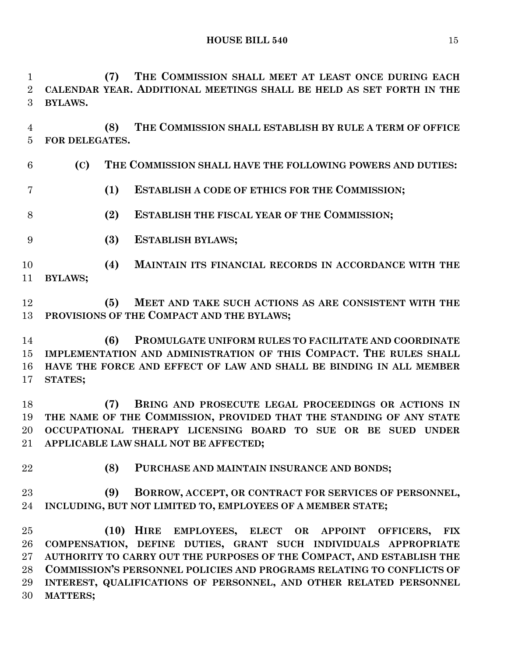**HOUSE BILL 540** 15

 **(7) THE COMMISSION SHALL MEET AT LEAST ONCE DURING EACH CALENDAR YEAR. ADDITIONAL MEETINGS SHALL BE HELD AS SET FORTH IN THE BYLAWS.**

 **(8) THE COMMISSION SHALL ESTABLISH BY RULE A TERM OF OFFICE FOR DELEGATES.**

- **(C) THE COMMISSION SHALL HAVE THE FOLLOWING POWERS AND DUTIES:**
- **(1) ESTABLISH A CODE OF ETHICS FOR THE COMMISSION;**
- **(2) ESTABLISH THE FISCAL YEAR OF THE COMMISSION;**
- **(3) ESTABLISH BYLAWS;**
- **(4) MAINTAIN ITS FINANCIAL RECORDS IN ACCORDANCE WITH THE BYLAWS;**
- **(5) MEET AND TAKE SUCH ACTIONS AS ARE CONSISTENT WITH THE PROVISIONS OF THE COMPACT AND THE BYLAWS;**

 **(6) PROMULGATE UNIFORM RULES TO FACILITATE AND COORDINATE IMPLEMENTATION AND ADMINISTRATION OF THIS COMPACT. THE RULES SHALL HAVE THE FORCE AND EFFECT OF LAW AND SHALL BE BINDING IN ALL MEMBER STATES;**

 **(7) BRING AND PROSECUTE LEGAL PROCEEDINGS OR ACTIONS IN THE NAME OF THE COMMISSION, PROVIDED THAT THE STANDING OF ANY STATE OCCUPATIONAL THERAPY LICENSING BOARD TO SUE OR BE SUED UNDER APPLICABLE LAW SHALL NOT BE AFFECTED;**

- 
- **(8) PURCHASE AND MAINTAIN INSURANCE AND BONDS;**
- **(9) BORROW, ACCEPT, OR CONTRACT FOR SERVICES OF PERSONNEL, INCLUDING, BUT NOT LIMITED TO, EMPLOYEES OF A MEMBER STATE;**

 **(10) HIRE EMPLOYEES, ELECT OR APPOINT OFFICERS, FIX COMPENSATION, DEFINE DUTIES, GRANT SUCH INDIVIDUALS APPROPRIATE AUTHORITY TO CARRY OUT THE PURPOSES OF THE COMPACT, AND ESTABLISH THE COMMISSION'S PERSONNEL POLICIES AND PROGRAMS RELATING TO CONFLICTS OF INTEREST, QUALIFICATIONS OF PERSONNEL, AND OTHER RELATED PERSONNEL MATTERS;**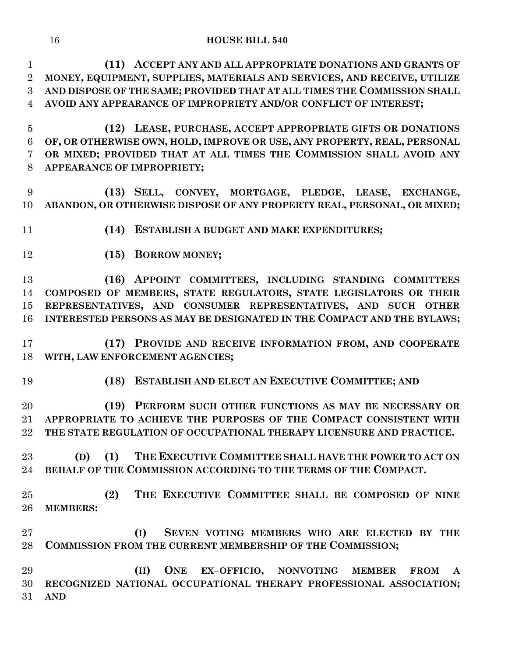**(11) ACCEPT ANY AND ALL APPROPRIATE DONATIONS AND GRANTS OF MONEY, EQUIPMENT, SUPPLIES, MATERIALS AND SERVICES, AND RECEIVE, UTILIZE AND DISPOSE OF THE SAME; PROVIDED THAT AT ALL TIMES THE COMMISSION SHALL AVOID ANY APPEARANCE OF IMPROPRIETY AND/OR CONFLICT OF INTEREST;**

 **(12) LEASE, PURCHASE, ACCEPT APPROPRIATE GIFTS OR DONATIONS OF, OR OTHERWISE OWN, HOLD, IMPROVE OR USE, ANY PROPERTY, REAL, PERSONAL OR MIXED; PROVIDED THAT AT ALL TIMES THE COMMISSION SHALL AVOID ANY APPEARANCE OF IMPROPRIETY;**

 **(13) SELL, CONVEY, MORTGAGE, PLEDGE, LEASE, EXCHANGE, ABANDON, OR OTHERWISE DISPOSE OF ANY PROPERTY REAL, PERSONAL, OR MIXED;**

- **(14) ESTABLISH A BUDGET AND MAKE EXPENDITURES;**
- **(15) BORROW MONEY;**

 **(16) APPOINT COMMITTEES, INCLUDING STANDING COMMITTEES COMPOSED OF MEMBERS, STATE REGULATORS, STATE LEGISLATORS OR THEIR REPRESENTATIVES, AND CONSUMER REPRESENTATIVES, AND SUCH OTHER INTERESTED PERSONS AS MAY BE DESIGNATED IN THE COMPACT AND THE BYLAWS;**

 **(17) PROVIDE AND RECEIVE INFORMATION FROM, AND COOPERATE WITH, LAW ENFORCEMENT AGENCIES;**

**(18) ESTABLISH AND ELECT AN EXECUTIVE COMMITTEE; AND**

 **(19) PERFORM SUCH OTHER FUNCTIONS AS MAY BE NECESSARY OR APPROPRIATE TO ACHIEVE THE PURPOSES OF THE COMPACT CONSISTENT WITH THE STATE REGULATION OF OCCUPATIONAL THERAPY LICENSURE AND PRACTICE.**

 **(D) (1) THE EXECUTIVE COMMITTEE SHALL HAVE THE POWER TO ACT ON BEHALF OF THE COMMISSION ACCORDING TO THE TERMS OF THE COMPACT.**

 **(2) THE EXECUTIVE COMMITTEE SHALL BE COMPOSED OF NINE MEMBERS:**

 **(I) SEVEN VOTING MEMBERS WHO ARE ELECTED BY THE COMMISSION FROM THE CURRENT MEMBERSHIP OF THE COMMISSION;**

 **(II) ONE EX–OFFICIO, NONVOTING MEMBER FROM A RECOGNIZED NATIONAL OCCUPATIONAL THERAPY PROFESSIONAL ASSOCIATION; AND**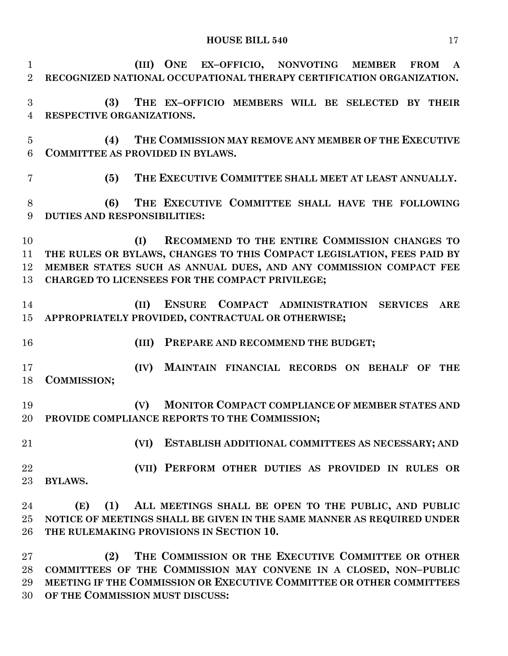**HOUSE BILL 540** 17

 **(III) ONE EX–OFFICIO, NONVOTING MEMBER FROM A RECOGNIZED NATIONAL OCCUPATIONAL THERAPY CERTIFICATION ORGANIZATION. (3) THE EX–OFFICIO MEMBERS WILL BE SELECTED BY THEIR RESPECTIVE ORGANIZATIONS. (4) THE COMMISSION MAY REMOVE ANY MEMBER OF THE EXECUTIVE COMMITTEE AS PROVIDED IN BYLAWS. (5) THE EXECUTIVE COMMITTEE SHALL MEET AT LEAST ANNUALLY. (6) THE EXECUTIVE COMMITTEE SHALL HAVE THE FOLLOWING DUTIES AND RESPONSIBILITIES: (I) RECOMMEND TO THE ENTIRE COMMISSION CHANGES TO THE RULES OR BYLAWS, CHANGES TO THIS COMPACT LEGISLATION, FEES PAID BY MEMBER STATES SUCH AS ANNUAL DUES, AND ANY COMMISSION COMPACT FEE CHARGED TO LICENSEES FOR THE COMPACT PRIVILEGE; (II) ENSURE COMPACT ADMINISTRATION SERVICES ARE APPROPRIATELY PROVIDED, CONTRACTUAL OR OTHERWISE; (III) PREPARE AND RECOMMEND THE BUDGET; (IV) MAINTAIN FINANCIAL RECORDS ON BEHALF OF THE COMMISSION; (V) MONITOR COMPACT COMPLIANCE OF MEMBER STATES AND PROVIDE COMPLIANCE REPORTS TO THE COMMISSION; (VI) ESTABLISH ADDITIONAL COMMITTEES AS NECESSARY; AND (VII) PERFORM OTHER DUTIES AS PROVIDED IN RULES OR BYLAWS. (E) (1) ALL MEETINGS SHALL BE OPEN TO THE PUBLIC, AND PUBLIC NOTICE OF MEETINGS SHALL BE GIVEN IN THE SAME MANNER AS REQUIRED UNDER THE RULEMAKING PROVISIONS IN SECTION 10.**

 **(2) THE COMMISSION OR THE EXECUTIVE COMMITTEE OR OTHER COMMITTEES OF THE COMMISSION MAY CONVENE IN A CLOSED, NON–PUBLIC MEETING IF THE COMMISSION OR EXECUTIVE COMMITTEE OR OTHER COMMITTEES OF THE COMMISSION MUST DISCUSS:**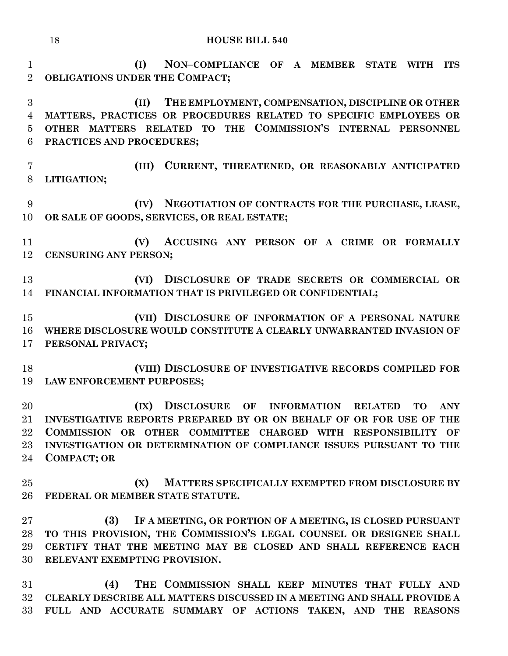**(I) NON–COMPLIANCE OF A MEMBER STATE WITH ITS OBLIGATIONS UNDER THE COMPACT; (II) THE EMPLOYMENT, COMPENSATION, DISCIPLINE OR OTHER** 

 **MATTERS, PRACTICES OR PROCEDURES RELATED TO SPECIFIC EMPLOYEES OR OTHER MATTERS RELATED TO THE COMMISSION'S INTERNAL PERSONNEL PRACTICES AND PROCEDURES;**

 **(III) CURRENT, THREATENED, OR REASONABLY ANTICIPATED LITIGATION;**

 **(IV) NEGOTIATION OF CONTRACTS FOR THE PURCHASE, LEASE, OR SALE OF GOODS, SERVICES, OR REAL ESTATE;**

 **(V) ACCUSING ANY PERSON OF A CRIME OR FORMALLY CENSURING ANY PERSON;**

 **(VI) DISCLOSURE OF TRADE SECRETS OR COMMERCIAL OR FINANCIAL INFORMATION THAT IS PRIVILEGED OR CONFIDENTIAL;**

 **(VII) DISCLOSURE OF INFORMATION OF A PERSONAL NATURE WHERE DISCLOSURE WOULD CONSTITUTE A CLEARLY UNWARRANTED INVASION OF PERSONAL PRIVACY;**

 **(VIII) DISCLOSURE OF INVESTIGATIVE RECORDS COMPILED FOR LAW ENFORCEMENT PURPOSES;**

 **(IX) DISCLOSURE OF INFORMATION RELATED TO ANY INVESTIGATIVE REPORTS PREPARED BY OR ON BEHALF OF OR FOR USE OF THE COMMISSION OR OTHER COMMITTEE CHARGED WITH RESPONSIBILITY OF INVESTIGATION OR DETERMINATION OF COMPLIANCE ISSUES PURSUANT TO THE COMPACT; OR**

 **(X) MATTERS SPECIFICALLY EXEMPTED FROM DISCLOSURE BY FEDERAL OR MEMBER STATE STATUTE.**

 **(3) IF A MEETING, OR PORTION OF A MEETING, IS CLOSED PURSUANT TO THIS PROVISION, THE COMMISSION'S LEGAL COUNSEL OR DESIGNEE SHALL CERTIFY THAT THE MEETING MAY BE CLOSED AND SHALL REFERENCE EACH RELEVANT EXEMPTING PROVISION.**

 **(4) THE COMMISSION SHALL KEEP MINUTES THAT FULLY AND CLEARLY DESCRIBE ALL MATTERS DISCUSSED IN A MEETING AND SHALL PROVIDE A FULL AND ACCURATE SUMMARY OF ACTIONS TAKEN, AND THE REASONS**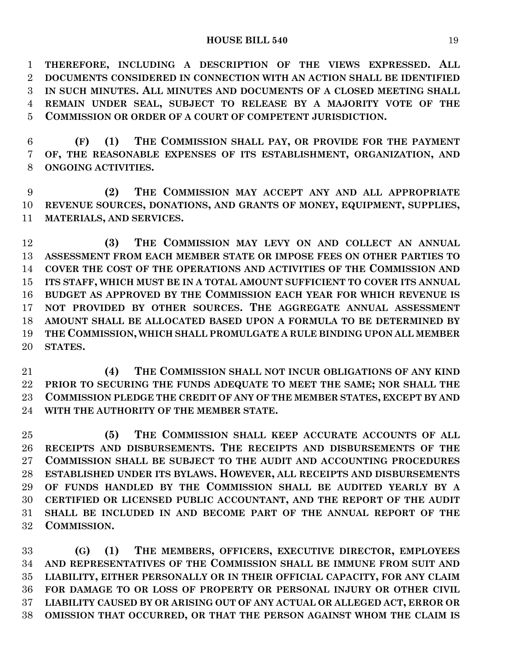**THEREFORE, INCLUDING A DESCRIPTION OF THE VIEWS EXPRESSED. ALL DOCUMENTS CONSIDERED IN CONNECTION WITH AN ACTION SHALL BE IDENTIFIED IN SUCH MINUTES. ALL MINUTES AND DOCUMENTS OF A CLOSED MEETING SHALL REMAIN UNDER SEAL, SUBJECT TO RELEASE BY A MAJORITY VOTE OF THE COMMISSION OR ORDER OF A COURT OF COMPETENT JURISDICTION.**

 **(F) (1) THE COMMISSION SHALL PAY, OR PROVIDE FOR THE PAYMENT OF, THE REASONABLE EXPENSES OF ITS ESTABLISHMENT, ORGANIZATION, AND ONGOING ACTIVITIES.**

 **(2) THE COMMISSION MAY ACCEPT ANY AND ALL APPROPRIATE REVENUE SOURCES, DONATIONS, AND GRANTS OF MONEY, EQUIPMENT, SUPPLIES, MATERIALS, AND SERVICES.**

 **(3) THE COMMISSION MAY LEVY ON AND COLLECT AN ANNUAL ASSESSMENT FROM EACH MEMBER STATE OR IMPOSE FEES ON OTHER PARTIES TO COVER THE COST OF THE OPERATIONS AND ACTIVITIES OF THE COMMISSION AND ITS STAFF, WHICH MUST BE IN A TOTAL AMOUNT SUFFICIENT TO COVER ITS ANNUAL BUDGET AS APPROVED BY THE COMMISSION EACH YEAR FOR WHICH REVENUE IS NOT PROVIDED BY OTHER SOURCES. THE AGGREGATE ANNUAL ASSESSMENT AMOUNT SHALL BE ALLOCATED BASED UPON A FORMULA TO BE DETERMINED BY THE COMMISSION, WHICH SHALL PROMULGATE A RULE BINDING UPON ALL MEMBER STATES.**

 **(4) THE COMMISSION SHALL NOT INCUR OBLIGATIONS OF ANY KIND PRIOR TO SECURING THE FUNDS ADEQUATE TO MEET THE SAME; NOR SHALL THE COMMISSION PLEDGE THE CREDIT OF ANY OF THE MEMBER STATES, EXCEPT BY AND WITH THE AUTHORITY OF THE MEMBER STATE.**

 **(5) THE COMMISSION SHALL KEEP ACCURATE ACCOUNTS OF ALL RECEIPTS AND DISBURSEMENTS. THE RECEIPTS AND DISBURSEMENTS OF THE COMMISSION SHALL BE SUBJECT TO THE AUDIT AND ACCOUNTING PROCEDURES ESTABLISHED UNDER ITS BYLAWS. HOWEVER, ALL RECEIPTS AND DISBURSEMENTS OF FUNDS HANDLED BY THE COMMISSION SHALL BE AUDITED YEARLY BY A CERTIFIED OR LICENSED PUBLIC ACCOUNTANT, AND THE REPORT OF THE AUDIT SHALL BE INCLUDED IN AND BECOME PART OF THE ANNUAL REPORT OF THE COMMISSION.**

 **(G) (1) THE MEMBERS, OFFICERS, EXECUTIVE DIRECTOR, EMPLOYEES AND REPRESENTATIVES OF THE COMMISSION SHALL BE IMMUNE FROM SUIT AND LIABILITY, EITHER PERSONALLY OR IN THEIR OFFICIAL CAPACITY, FOR ANY CLAIM FOR DAMAGE TO OR LOSS OF PROPERTY OR PERSONAL INJURY OR OTHER CIVIL LIABILITY CAUSED BY OR ARISING OUT OF ANY ACTUAL OR ALLEGED ACT, ERROR OR OMISSION THAT OCCURRED, OR THAT THE PERSON AGAINST WHOM THE CLAIM IS**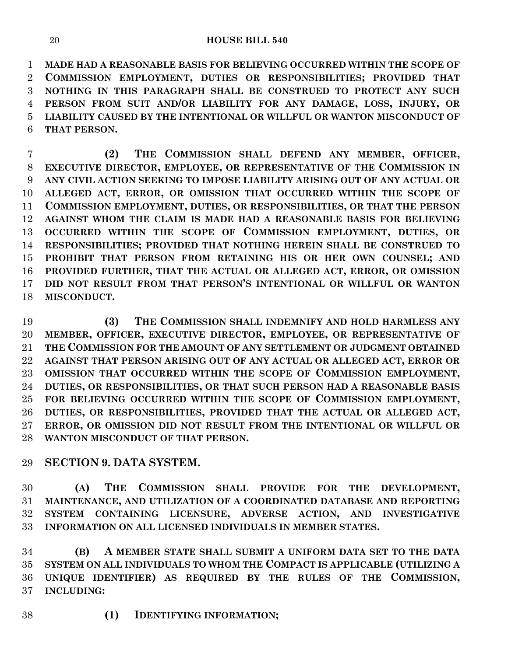**MADE HAD A REASONABLE BASIS FOR BELIEVING OCCURRED WITHIN THE SCOPE OF COMMISSION EMPLOYMENT, DUTIES OR RESPONSIBILITIES; PROVIDED THAT NOTHING IN THIS PARAGRAPH SHALL BE CONSTRUED TO PROTECT ANY SUCH PERSON FROM SUIT AND/OR LIABILITY FOR ANY DAMAGE, LOSS, INJURY, OR LIABILITY CAUSED BY THE INTENTIONAL OR WILLFUL OR WANTON MISCONDUCT OF THAT PERSON.**

 **(2) THE COMMISSION SHALL DEFEND ANY MEMBER, OFFICER, EXECUTIVE DIRECTOR, EMPLOYEE, OR REPRESENTATIVE OF THE COMMISSION IN ANY CIVIL ACTION SEEKING TO IMPOSE LIABILITY ARISING OUT OF ANY ACTUAL OR ALLEGED ACT, ERROR, OR OMISSION THAT OCCURRED WITHIN THE SCOPE OF COMMISSION EMPLOYMENT, DUTIES, OR RESPONSIBILITIES, OR THAT THE PERSON AGAINST WHOM THE CLAIM IS MADE HAD A REASONABLE BASIS FOR BELIEVING OCCURRED WITHIN THE SCOPE OF COMMISSION EMPLOYMENT, DUTIES, OR RESPONSIBILITIES; PROVIDED THAT NOTHING HEREIN SHALL BE CONSTRUED TO PROHIBIT THAT PERSON FROM RETAINING HIS OR HER OWN COUNSEL; AND PROVIDED FURTHER, THAT THE ACTUAL OR ALLEGED ACT, ERROR, OR OMISSION DID NOT RESULT FROM THAT PERSON'S INTENTIONAL OR WILLFUL OR WANTON MISCONDUCT.**

 **(3) THE COMMISSION SHALL INDEMNIFY AND HOLD HARMLESS ANY MEMBER, OFFICER, EXECUTIVE DIRECTOR, EMPLOYEE, OR REPRESENTATIVE OF THE COMMISSION FOR THE AMOUNT OF ANY SETTLEMENT OR JUDGMENT OBTAINED AGAINST THAT PERSON ARISING OUT OF ANY ACTUAL OR ALLEGED ACT, ERROR OR OMISSION THAT OCCURRED WITHIN THE SCOPE OF COMMISSION EMPLOYMENT, DUTIES, OR RESPONSIBILITIES, OR THAT SUCH PERSON HAD A REASONABLE BASIS FOR BELIEVING OCCURRED WITHIN THE SCOPE OF COMMISSION EMPLOYMENT, DUTIES, OR RESPONSIBILITIES, PROVIDED THAT THE ACTUAL OR ALLEGED ACT, ERROR, OR OMISSION DID NOT RESULT FROM THE INTENTIONAL OR WILLFUL OR WANTON MISCONDUCT OF THAT PERSON.**

# **SECTION 9. DATA SYSTEM.**

 **(A) THE COMMISSION SHALL PROVIDE FOR THE DEVELOPMENT, MAINTENANCE, AND UTILIZATION OF A COORDINATED DATABASE AND REPORTING SYSTEM CONTAINING LICENSURE, ADVERSE ACTION, AND INVESTIGATIVE INFORMATION ON ALL LICENSED INDIVIDUALS IN MEMBER STATES.**

 **(B) A MEMBER STATE SHALL SUBMIT A UNIFORM DATA SET TO THE DATA SYSTEM ON ALL INDIVIDUALS TO WHOM THE COMPACT IS APPLICABLE (UTILIZING A UNIQUE IDENTIFIER) AS REQUIRED BY THE RULES OF THE COMMISSION, INCLUDING:**

**(1) IDENTIFYING INFORMATION;**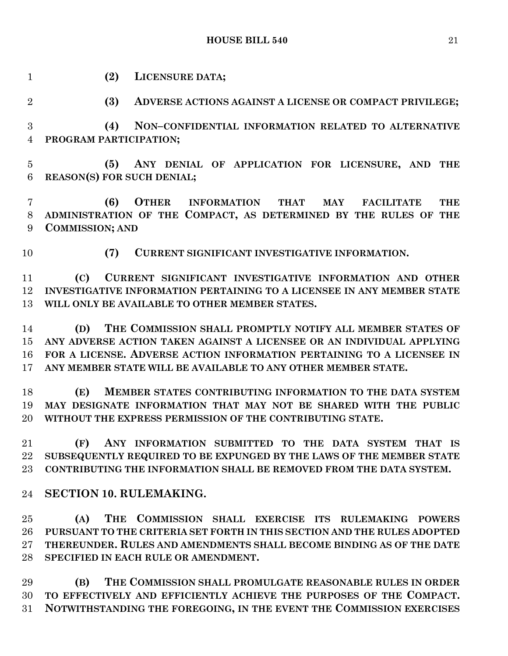**HOUSE BILL 540** 21

 **(2) LICENSURE DATA; (3) ADVERSE ACTIONS AGAINST A LICENSE OR COMPACT PRIVILEGE; (4) NON–CONFIDENTIAL INFORMATION RELATED TO ALTERNATIVE PROGRAM PARTICIPATION; (5) ANY DENIAL OF APPLICATION FOR LICENSURE, AND THE REASON(S) FOR SUCH DENIAL; (6) OTHER INFORMATION THAT MAY FACILITATE THE ADMINISTRATION OF THE COMPACT, AS DETERMINED BY THE RULES OF THE COMMISSION; AND (7) CURRENT SIGNIFICANT INVESTIGATIVE INFORMATION. (C) CURRENT SIGNIFICANT INVESTIGATIVE INFORMATION AND OTHER INVESTIGATIVE INFORMATION PERTAINING TO A LICENSEE IN ANY MEMBER STATE WILL ONLY BE AVAILABLE TO OTHER MEMBER STATES. (D) THE COMMISSION SHALL PROMPTLY NOTIFY ALL MEMBER STATES OF ANY ADVERSE ACTION TAKEN AGAINST A LICENSEE OR AN INDIVIDUAL APPLYING FOR A LICENSE. ADVERSE ACTION INFORMATION PERTAINING TO A LICENSEE IN ANY MEMBER STATE WILL BE AVAILABLE TO ANY OTHER MEMBER STATE. (E) MEMBER STATES CONTRIBUTING INFORMATION TO THE DATA SYSTEM MAY DESIGNATE INFORMATION THAT MAY NOT BE SHARED WITH THE PUBLIC WITHOUT THE EXPRESS PERMISSION OF THE CONTRIBUTING STATE. (F) ANY INFORMATION SUBMITTED TO THE DATA SYSTEM THAT IS SUBSEQUENTLY REQUIRED TO BE EXPUNGED BY THE LAWS OF THE MEMBER STATE CONTRIBUTING THE INFORMATION SHALL BE REMOVED FROM THE DATA SYSTEM. SECTION 10. RULEMAKING. (A) THE COMMISSION SHALL EXERCISE ITS RULEMAKING POWERS PURSUANT TO THE CRITERIA SET FORTH IN THIS SECTION AND THE RULES ADOPTED THEREUNDER. RULES AND AMENDMENTS SHALL BECOME BINDING AS OF THE DATE SPECIFIED IN EACH RULE OR AMENDMENT.**

 **(B) THE COMMISSION SHALL PROMULGATE REASONABLE RULES IN ORDER TO EFFECTIVELY AND EFFICIENTLY ACHIEVE THE PURPOSES OF THE COMPACT. NOTWITHSTANDING THE FOREGOING, IN THE EVENT THE COMMISSION EXERCISES**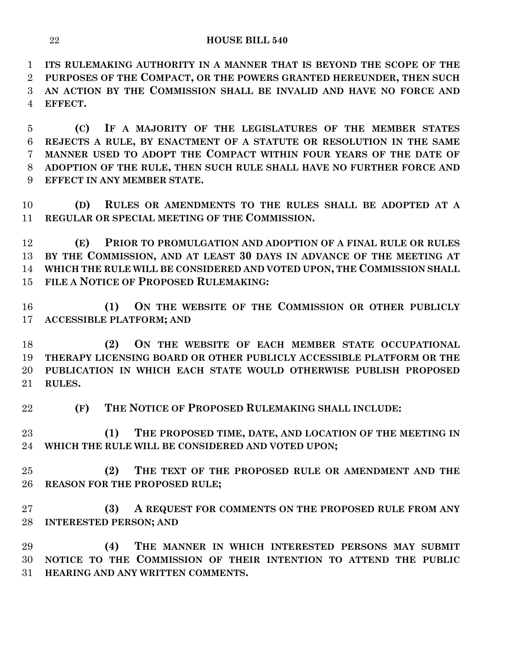**ITS RULEMAKING AUTHORITY IN A MANNER THAT IS BEYOND THE SCOPE OF THE PURPOSES OF THE COMPACT, OR THE POWERS GRANTED HEREUNDER, THEN SUCH AN ACTION BY THE COMMISSION SHALL BE INVALID AND HAVE NO FORCE AND EFFECT.**

 **(C) IF A MAJORITY OF THE LEGISLATURES OF THE MEMBER STATES REJECTS A RULE, BY ENACTMENT OF A STATUTE OR RESOLUTION IN THE SAME MANNER USED TO ADOPT THE COMPACT WITHIN FOUR YEARS OF THE DATE OF ADOPTION OF THE RULE, THEN SUCH RULE SHALL HAVE NO FURTHER FORCE AND EFFECT IN ANY MEMBER STATE.**

 **(D) RULES OR AMENDMENTS TO THE RULES SHALL BE ADOPTED AT A REGULAR OR SPECIAL MEETING OF THE COMMISSION.**

 **(E) PRIOR TO PROMULGATION AND ADOPTION OF A FINAL RULE OR RULES BY THE COMMISSION, AND AT LEAST 30 DAYS IN ADVANCE OF THE MEETING AT WHICH THE RULE WILL BE CONSIDERED AND VOTED UPON, THE COMMISSION SHALL FILE A NOTICE OF PROPOSED RULEMAKING:**

 **(1) ON THE WEBSITE OF THE COMMISSION OR OTHER PUBLICLY ACCESSIBLE PLATFORM; AND**

 **(2) ON THE WEBSITE OF EACH MEMBER STATE OCCUPATIONAL THERAPY LICENSING BOARD OR OTHER PUBLICLY ACCESSIBLE PLATFORM OR THE PUBLICATION IN WHICH EACH STATE WOULD OTHERWISE PUBLISH PROPOSED RULES.**

**(F) THE NOTICE OF PROPOSED RULEMAKING SHALL INCLUDE:**

 **(1) THE PROPOSED TIME, DATE, AND LOCATION OF THE MEETING IN WHICH THE RULE WILL BE CONSIDERED AND VOTED UPON;**

 **(2) THE TEXT OF THE PROPOSED RULE OR AMENDMENT AND THE REASON FOR THE PROPOSED RULE;**

 **(3) A REQUEST FOR COMMENTS ON THE PROPOSED RULE FROM ANY INTERESTED PERSON; AND**

 **(4) THE MANNER IN WHICH INTERESTED PERSONS MAY SUBMIT NOTICE TO THE COMMISSION OF THEIR INTENTION TO ATTEND THE PUBLIC HEARING AND ANY WRITTEN COMMENTS.**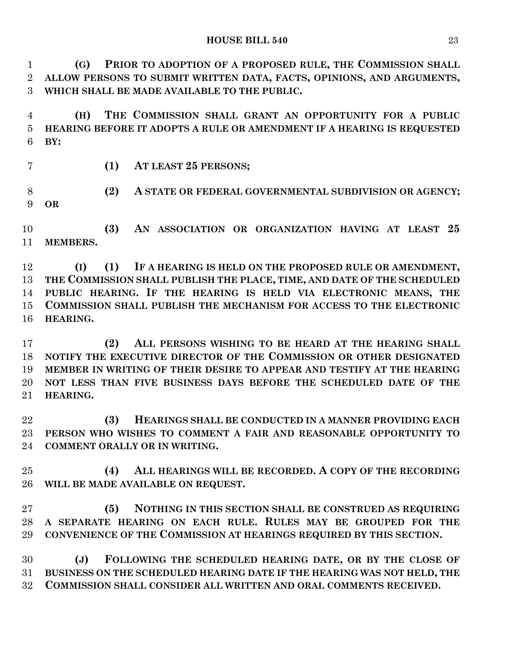**(G) PRIOR TO ADOPTION OF A PROPOSED RULE, THE COMMISSION SHALL ALLOW PERSONS TO SUBMIT WRITTEN DATA, FACTS, OPINIONS, AND ARGUMENTS, WHICH SHALL BE MADE AVAILABLE TO THE PUBLIC.**

 **(H) THE COMMISSION SHALL GRANT AN OPPORTUNITY FOR A PUBLIC HEARING BEFORE IT ADOPTS A RULE OR AMENDMENT IF A HEARING IS REQUESTED BY:**

**(1) AT LEAST 25 PERSONS;**

 **(2) A STATE OR FEDERAL GOVERNMENTAL SUBDIVISION OR AGENCY; OR**

 **(3) AN ASSOCIATION OR ORGANIZATION HAVING AT LEAST 25 MEMBERS.**

 **(I) (1) IF A HEARING IS HELD ON THE PROPOSED RULE OR AMENDMENT, THE COMMISSION SHALL PUBLISH THE PLACE, TIME, AND DATE OF THE SCHEDULED PUBLIC HEARING. IF THE HEARING IS HELD VIA ELECTRONIC MEANS, THE COMMISSION SHALL PUBLISH THE MECHANISM FOR ACCESS TO THE ELECTRONIC HEARING.**

 **(2) ALL PERSONS WISHING TO BE HEARD AT THE HEARING SHALL NOTIFY THE EXECUTIVE DIRECTOR OF THE COMMISSION OR OTHER DESIGNATED MEMBER IN WRITING OF THEIR DESIRE TO APPEAR AND TESTIFY AT THE HEARING NOT LESS THAN FIVE BUSINESS DAYS BEFORE THE SCHEDULED DATE OF THE HEARING.**

 **(3) HEARINGS SHALL BE CONDUCTED IN A MANNER PROVIDING EACH PERSON WHO WISHES TO COMMENT A FAIR AND REASONABLE OPPORTUNITY TO COMMENT ORALLY OR IN WRITING.**

 **(4) ALL HEARINGS WILL BE RECORDED. A COPY OF THE RECORDING WILL BE MADE AVAILABLE ON REQUEST.**

 **(5) NOTHING IN THIS SECTION SHALL BE CONSTRUED AS REQUIRING A SEPARATE HEARING ON EACH RULE. RULES MAY BE GROUPED FOR THE CONVENIENCE OF THE COMMISSION AT HEARINGS REQUIRED BY THIS SECTION.**

 **(J) FOLLOWING THE SCHEDULED HEARING DATE, OR BY THE CLOSE OF BUSINESS ON THE SCHEDULED HEARING DATE IF THE HEARING WAS NOT HELD, THE COMMISSION SHALL CONSIDER ALL WRITTEN AND ORAL COMMENTS RECEIVED.**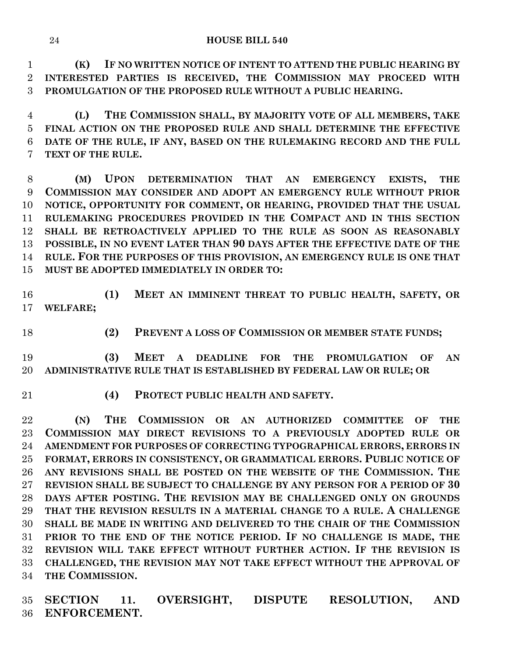**(K) IF NO WRITTEN NOTICE OF INTENT TO ATTEND THE PUBLIC HEARING BY INTERESTED PARTIES IS RECEIVED, THE COMMISSION MAY PROCEED WITH PROMULGATION OF THE PROPOSED RULE WITHOUT A PUBLIC HEARING.**

 **(L) THE COMMISSION SHALL, BY MAJORITY VOTE OF ALL MEMBERS, TAKE FINAL ACTION ON THE PROPOSED RULE AND SHALL DETERMINE THE EFFECTIVE DATE OF THE RULE, IF ANY, BASED ON THE RULEMAKING RECORD AND THE FULL TEXT OF THE RULE.**

 **(M) UPON DETERMINATION THAT AN EMERGENCY EXISTS, THE COMMISSION MAY CONSIDER AND ADOPT AN EMERGENCY RULE WITHOUT PRIOR NOTICE, OPPORTUNITY FOR COMMENT, OR HEARING, PROVIDED THAT THE USUAL RULEMAKING PROCEDURES PROVIDED IN THE COMPACT AND IN THIS SECTION SHALL BE RETROACTIVELY APPLIED TO THE RULE AS SOON AS REASONABLY POSSIBLE, IN NO EVENT LATER THAN 90 DAYS AFTER THE EFFECTIVE DATE OF THE RULE. FOR THE PURPOSES OF THIS PROVISION, AN EMERGENCY RULE IS ONE THAT MUST BE ADOPTED IMMEDIATELY IN ORDER TO:**

 **(1) MEET AN IMMINENT THREAT TO PUBLIC HEALTH, SAFETY, OR WELFARE;**

- 
- **(2) PREVENT A LOSS OF COMMISSION OR MEMBER STATE FUNDS;**

 **(3) MEET A DEADLINE FOR THE PROMULGATION OF AN ADMINISTRATIVE RULE THAT IS ESTABLISHED BY FEDERAL LAW OR RULE; OR**

**(4) PROTECT PUBLIC HEALTH AND SAFETY.**

 **(N) THE COMMISSION OR AN AUTHORIZED COMMITTEE OF THE COMMISSION MAY DIRECT REVISIONS TO A PREVIOUSLY ADOPTED RULE OR AMENDMENT FOR PURPOSES OF CORRECTING TYPOGRAPHICAL ERRORS, ERRORS IN FORMAT, ERRORS IN CONSISTENCY, OR GRAMMATICAL ERRORS. PUBLIC NOTICE OF ANY REVISIONS SHALL BE POSTED ON THE WEBSITE OF THE COMMISSION. THE REVISION SHALL BE SUBJECT TO CHALLENGE BY ANY PERSON FOR A PERIOD OF 30 DAYS AFTER POSTING. THE REVISION MAY BE CHALLENGED ONLY ON GROUNDS THAT THE REVISION RESULTS IN A MATERIAL CHANGE TO A RULE. A CHALLENGE SHALL BE MADE IN WRITING AND DELIVERED TO THE CHAIR OF THE COMMISSION PRIOR TO THE END OF THE NOTICE PERIOD. IF NO CHALLENGE IS MADE, THE REVISION WILL TAKE EFFECT WITHOUT FURTHER ACTION. IF THE REVISION IS CHALLENGED, THE REVISION MAY NOT TAKE EFFECT WITHOUT THE APPROVAL OF THE COMMISSION.**

 **SECTION 11. OVERSIGHT, DISPUTE RESOLUTION, AND ENFORCEMENT.**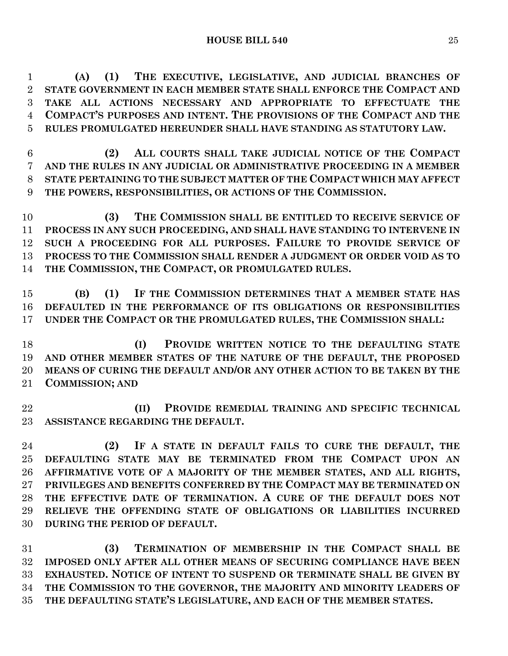**(A) (1) THE EXECUTIVE, LEGISLATIVE, AND JUDICIAL BRANCHES OF STATE GOVERNMENT IN EACH MEMBER STATE SHALL ENFORCE THE COMPACT AND TAKE ALL ACTIONS NECESSARY AND APPROPRIATE TO EFFECTUATE THE COMPACT'S PURPOSES AND INTENT. THE PROVISIONS OF THE COMPACT AND THE RULES PROMULGATED HEREUNDER SHALL HAVE STANDING AS STATUTORY LAW.**

 **(2) ALL COURTS SHALL TAKE JUDICIAL NOTICE OF THE COMPACT AND THE RULES IN ANY JUDICIAL OR ADMINISTRATIVE PROCEEDING IN A MEMBER STATE PERTAINING TO THE SUBJECT MATTER OF THE COMPACT WHICH MAY AFFECT THE POWERS, RESPONSIBILITIES, OR ACTIONS OF THE COMMISSION.**

 **(3) THE COMMISSION SHALL BE ENTITLED TO RECEIVE SERVICE OF PROCESS IN ANY SUCH PROCEEDING, AND SHALL HAVE STANDING TO INTERVENE IN SUCH A PROCEEDING FOR ALL PURPOSES. FAILURE TO PROVIDE SERVICE OF PROCESS TO THE COMMISSION SHALL RENDER A JUDGMENT OR ORDER VOID AS TO THE COMMISSION, THE COMPACT, OR PROMULGATED RULES.**

 **(B) (1) IF THE COMMISSION DETERMINES THAT A MEMBER STATE HAS DEFAULTED IN THE PERFORMANCE OF ITS OBLIGATIONS OR RESPONSIBILITIES UNDER THE COMPACT OR THE PROMULGATED RULES, THE COMMISSION SHALL:**

 **(I) PROVIDE WRITTEN NOTICE TO THE DEFAULTING STATE AND OTHER MEMBER STATES OF THE NATURE OF THE DEFAULT, THE PROPOSED MEANS OF CURING THE DEFAULT AND/OR ANY OTHER ACTION TO BE TAKEN BY THE COMMISSION; AND**

 **(II) PROVIDE REMEDIAL TRAINING AND SPECIFIC TECHNICAL ASSISTANCE REGARDING THE DEFAULT.**

 **(2) IF A STATE IN DEFAULT FAILS TO CURE THE DEFAULT, THE DEFAULTING STATE MAY BE TERMINATED FROM THE COMPACT UPON AN AFFIRMATIVE VOTE OF A MAJORITY OF THE MEMBER STATES, AND ALL RIGHTS, PRIVILEGES AND BENEFITS CONFERRED BY THE COMPACT MAY BE TERMINATED ON THE EFFECTIVE DATE OF TERMINATION. A CURE OF THE DEFAULT DOES NOT RELIEVE THE OFFENDING STATE OF OBLIGATIONS OR LIABILITIES INCURRED DURING THE PERIOD OF DEFAULT.**

 **(3) TERMINATION OF MEMBERSHIP IN THE COMPACT SHALL BE IMPOSED ONLY AFTER ALL OTHER MEANS OF SECURING COMPLIANCE HAVE BEEN EXHAUSTED. NOTICE OF INTENT TO SUSPEND OR TERMINATE SHALL BE GIVEN BY THE COMMISSION TO THE GOVERNOR, THE MAJORITY AND MINORITY LEADERS OF THE DEFAULTING STATE'S LEGISLATURE, AND EACH OF THE MEMBER STATES.**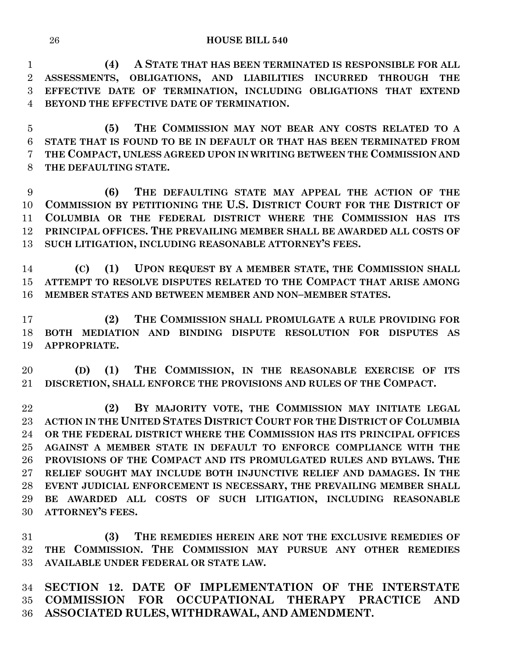**(4) A STATE THAT HAS BEEN TERMINATED IS RESPONSIBLE FOR ALL ASSESSMENTS, OBLIGATIONS, AND LIABILITIES INCURRED THROUGH THE EFFECTIVE DATE OF TERMINATION, INCLUDING OBLIGATIONS THAT EXTEND BEYOND THE EFFECTIVE DATE OF TERMINATION.**

 **(5) THE COMMISSION MAY NOT BEAR ANY COSTS RELATED TO A STATE THAT IS FOUND TO BE IN DEFAULT OR THAT HAS BEEN TERMINATED FROM THE COMPACT, UNLESS AGREED UPON IN WRITING BETWEEN THE COMMISSION AND THE DEFAULTING STATE.**

 **(6) THE DEFAULTING STATE MAY APPEAL THE ACTION OF THE COMMISSION BY PETITIONING THE U.S. DISTRICT COURT FOR THE DISTRICT OF COLUMBIA OR THE FEDERAL DISTRICT WHERE THE COMMISSION HAS ITS PRINCIPAL OFFICES. THE PREVAILING MEMBER SHALL BE AWARDED ALL COSTS OF SUCH LITIGATION, INCLUDING REASONABLE ATTORNEY'S FEES.**

 **(C) (1) UPON REQUEST BY A MEMBER STATE, THE COMMISSION SHALL ATTEMPT TO RESOLVE DISPUTES RELATED TO THE COMPACT THAT ARISE AMONG MEMBER STATES AND BETWEEN MEMBER AND NON–MEMBER STATES.**

 **(2) THE COMMISSION SHALL PROMULGATE A RULE PROVIDING FOR BOTH MEDIATION AND BINDING DISPUTE RESOLUTION FOR DISPUTES AS APPROPRIATE.**

 **(D) (1) THE COMMISSION, IN THE REASONABLE EXERCISE OF ITS DISCRETION, SHALL ENFORCE THE PROVISIONS AND RULES OF THE COMPACT.**

 **(2) BY MAJORITY VOTE, THE COMMISSION MAY INITIATE LEGAL ACTION IN THE UNITED STATES DISTRICT COURT FOR THE DISTRICT OF COLUMBIA OR THE FEDERAL DISTRICT WHERE THE COMMISSION HAS ITS PRINCIPAL OFFICES AGAINST A MEMBER STATE IN DEFAULT TO ENFORCE COMPLIANCE WITH THE PROVISIONS OF THE COMPACT AND ITS PROMULGATED RULES AND BYLAWS. THE RELIEF SOUGHT MAY INCLUDE BOTH INJUNCTIVE RELIEF AND DAMAGES. IN THE EVENT JUDICIAL ENFORCEMENT IS NECESSARY, THE PREVAILING MEMBER SHALL BE AWARDED ALL COSTS OF SUCH LITIGATION, INCLUDING REASONABLE ATTORNEY'S FEES.**

 **(3) THE REMEDIES HEREIN ARE NOT THE EXCLUSIVE REMEDIES OF THE COMMISSION. THE COMMISSION MAY PURSUE ANY OTHER REMEDIES AVAILABLE UNDER FEDERAL OR STATE LAW.**

 **SECTION 12. DATE OF IMPLEMENTATION OF THE INTERSTATE COMMISSION FOR OCCUPATIONAL THERAPY PRACTICE AND ASSOCIATED RULES, WITHDRAWAL, AND AMENDMENT.**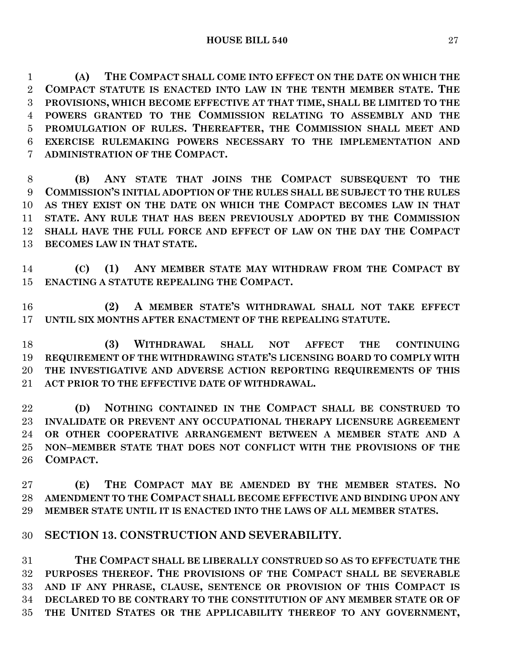**(A) THE COMPACT SHALL COME INTO EFFECT ON THE DATE ON WHICH THE COMPACT STATUTE IS ENACTED INTO LAW IN THE TENTH MEMBER STATE. THE PROVISIONS, WHICH BECOME EFFECTIVE AT THAT TIME, SHALL BE LIMITED TO THE POWERS GRANTED TO THE COMMISSION RELATING TO ASSEMBLY AND THE PROMULGATION OF RULES. THEREAFTER, THE COMMISSION SHALL MEET AND EXERCISE RULEMAKING POWERS NECESSARY TO THE IMPLEMENTATION AND ADMINISTRATION OF THE COMPACT.**

 **(B) ANY STATE THAT JOINS THE COMPACT SUBSEQUENT TO THE COMMISSION'S INITIAL ADOPTION OF THE RULES SHALL BE SUBJECT TO THE RULES AS THEY EXIST ON THE DATE ON WHICH THE COMPACT BECOMES LAW IN THAT STATE. ANY RULE THAT HAS BEEN PREVIOUSLY ADOPTED BY THE COMMISSION SHALL HAVE THE FULL FORCE AND EFFECT OF LAW ON THE DAY THE COMPACT BECOMES LAW IN THAT STATE.**

 **(C) (1) ANY MEMBER STATE MAY WITHDRAW FROM THE COMPACT BY ENACTING A STATUTE REPEALING THE COMPACT.**

 **(2) A MEMBER STATE'S WITHDRAWAL SHALL NOT TAKE EFFECT UNTIL SIX MONTHS AFTER ENACTMENT OF THE REPEALING STATUTE.**

 **(3) WITHDRAWAL SHALL NOT AFFECT THE CONTINUING REQUIREMENT OF THE WITHDRAWING STATE'S LICENSING BOARD TO COMPLY WITH THE INVESTIGATIVE AND ADVERSE ACTION REPORTING REQUIREMENTS OF THIS ACT PRIOR TO THE EFFECTIVE DATE OF WITHDRAWAL.**

 **(D) NOTHING CONTAINED IN THE COMPACT SHALL BE CONSTRUED TO INVALIDATE OR PREVENT ANY OCCUPATIONAL THERAPY LICENSURE AGREEMENT OR OTHER COOPERATIVE ARRANGEMENT BETWEEN A MEMBER STATE AND A NON–MEMBER STATE THAT DOES NOT CONFLICT WITH THE PROVISIONS OF THE COMPACT.**

 **(E) THE COMPACT MAY BE AMENDED BY THE MEMBER STATES. NO AMENDMENT TO THE COMPACT SHALL BECOME EFFECTIVE AND BINDING UPON ANY MEMBER STATE UNTIL IT IS ENACTED INTO THE LAWS OF ALL MEMBER STATES.**

### **SECTION 13. CONSTRUCTION AND SEVERABILITY.**

 **THE COMPACT SHALL BE LIBERALLY CONSTRUED SO AS TO EFFECTUATE THE PURPOSES THEREOF. THE PROVISIONS OF THE COMPACT SHALL BE SEVERABLE AND IF ANY PHRASE, CLAUSE, SENTENCE OR PROVISION OF THIS COMPACT IS DECLARED TO BE CONTRARY TO THE CONSTITUTION OF ANY MEMBER STATE OR OF THE UNITED STATES OR THE APPLICABILITY THEREOF TO ANY GOVERNMENT,**